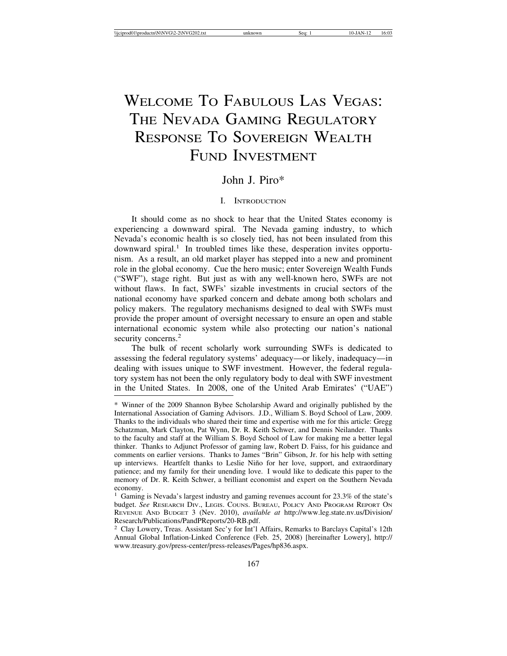# WELCOME TO FABULOUS LAS VEGAS: THE NEVADA GAMING REGULATORY RESPONSE TO SOVEREIGN WEALTH FUND INVESTMENT

## John J. Piro\*

## I. INTRODUCTION

It should come as no shock to hear that the United States economy is experiencing a downward spiral. The Nevada gaming industry, to which Nevada's economic health is so closely tied, has not been insulated from this  $downward spiral.<sup>1</sup>$  In troubled times like these, desperation invites opportunism. As a result, an old market player has stepped into a new and prominent role in the global economy. Cue the hero music; enter Sovereign Wealth Funds ("SWF"), stage right. But just as with any well-known hero, SWFs are not without flaws. In fact, SWFs' sizable investments in crucial sectors of the national economy have sparked concern and debate among both scholars and policy makers. The regulatory mechanisms designed to deal with SWFs must provide the proper amount of oversight necessary to ensure an open and stable international economic system while also protecting our nation's national security concerns.<sup>2</sup>

The bulk of recent scholarly work surrounding SWFs is dedicated to assessing the federal regulatory systems' adequacy—or likely, inadequacy—in dealing with issues unique to SWF investment. However, the federal regulatory system has not been the only regulatory body to deal with SWF investment in the United States. In 2008, one of the United Arab Emirates' ("UAE")

<sup>\*</sup> Winner of the 2009 Shannon Bybee Scholarship Award and originally published by the International Association of Gaming Advisors. J.D., William S. Boyd School of Law, 2009. Thanks to the individuals who shared their time and expertise with me for this article: Gregg Schatzman, Mark Clayton, Pat Wynn, Dr. R. Keith Schwer, and Dennis Neilander. Thanks to the faculty and staff at the William S. Boyd School of Law for making me a better legal thinker. Thanks to Adjunct Professor of gaming law, Robert D. Faiss, for his guidance and comments on earlier versions. Thanks to James "Brin" Gibson, Jr. for his help with setting up interviews. Heartfelt thanks to Leslie Niño for her love, support, and extraordinary patience; and my family for their unending love. I would like to dedicate this paper to the memory of Dr. R. Keith Schwer, a brilliant economist and expert on the Southern Nevada economy.

<sup>&</sup>lt;sup>1</sup> Gaming is Nevada's largest industry and gaming revenues account for 23.3% of the state's budget. *See* RESEARCH DIV., LEGIS. COUNS. BUREAU, POLICY AND PROGRAM REPORT ON REVENUE AND BUDGET 3 (Nev. 2010), *available at* http://www.leg.state.nv.us/Division/ Research/Publications/PandPReports/20-RB.pdf.

<sup>2</sup> Clay Lowery, Treas. Assistant Sec'y for Int'l Affairs, Remarks to Barclays Capital's 12th Annual Global Inflation-Linked Conference (Feb. 25, 2008) [hereinafter Lowery], http:// www.treasury.gov/press-center/press-releases/Pages/hp836.aspx.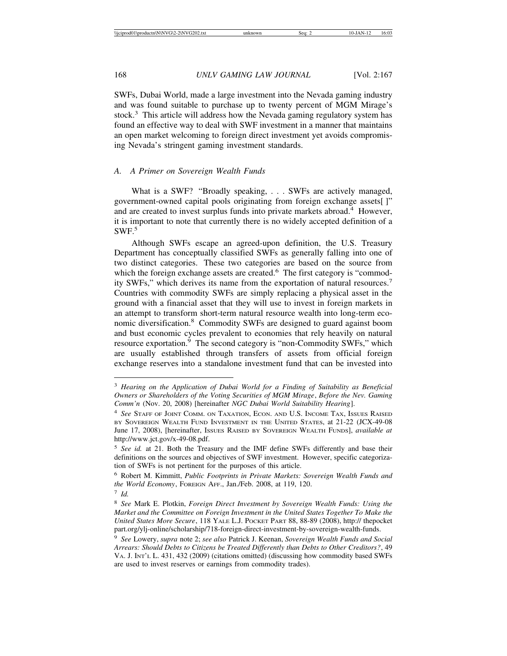SWFs, Dubai World, made a large investment into the Nevada gaming industry and was found suitable to purchase up to twenty percent of MGM Mirage's stock.<sup>3</sup> This article will address how the Nevada gaming regulatory system has found an effective way to deal with SWF investment in a manner that maintains an open market welcoming to foreign direct investment yet avoids compromising Nevada's stringent gaming investment standards.

## *A. A Primer on Sovereign Wealth Funds*

What is a SWF? "Broadly speaking, . . . SWFs are actively managed, government-owned capital pools originating from foreign exchange assets[ ]" and are created to invest surplus funds into private markets abroad.<sup>4</sup> However, it is important to note that currently there is no widely accepted definition of a  $SWF<sub>5</sub>$ 

Although SWFs escape an agreed-upon definition, the U.S. Treasury Department has conceptually classified SWFs as generally falling into one of two distinct categories. These two categories are based on the source from which the foreign exchange assets are created.<sup>6</sup> The first category is "commodity SWFs," which derives its name from the exportation of natural resources.<sup>7</sup> Countries with commodity SWFs are simply replacing a physical asset in the ground with a financial asset that they will use to invest in foreign markets in an attempt to transform short-term natural resource wealth into long-term economic diversification.8 Commodity SWFs are designed to guard against boom and bust economic cycles prevalent to economies that rely heavily on natural resource exportation.<sup>9</sup> The second category is "non-Commodity SWFs," which are usually established through transfers of assets from official foreign exchange reserves into a standalone investment fund that can be invested into

<sup>3</sup> *Hearing on the Application of Dubai World for a Finding of Suitability as Beneficial Owners or Shareholders of the Voting Securities of MGM Mirage*, *Before the Nev. Gaming Comm'n* (Nov. 20, 2008) [hereinafter *NGC Dubai World Suitability Hearing*].

<sup>4</sup> *See* STAFF OF JOINT COMM. ON TAXATION, ECON. AND U.S. INCOME TAX, ISSUES RAISED BY SOVEREIGN WEALTH FUND INVESTMENT IN THE UNITED STATES, at 21-22 (JCX-49-08 June 17, 2008), [hereinafter, ISSUES RAISED BY SOVEREIGN WEALTH FUNDS], *available at* http://www.jct.gov/x-49-08.pdf.

<sup>5</sup> *See id.* at 21. Both the Treasury and the IMF define SWFs differently and base their definitions on the sources and objectives of SWF investment. However, specific categorization of SWFs is not pertinent for the purposes of this article.

<sup>6</sup> Robert M. Kimmitt, *Public Footprints in Private Markets: Sovereign Wealth Funds and the World Economy*, FOREIGN AFF., Jan./Feb. 2008, at 119, 120.

<sup>7</sup> *Id.*

<sup>8</sup> *See* Mark E. Plotkin, *Foreign Direct Investment by Sovereign Wealth Funds: Using the Market and the Committee on Foreign Investment in the United States Together To Make the United States More Secure*, 118 YALE L.J. POCKET PART 88, 88-89 (2008), http:// thepocket part.org/ylj-online/scholarship/718-foreign-direct-investment-by-sovereign-wealth-funds.

<sup>9</sup> *See* Lowery, *supra* note 2; *see also* Patrick J. Keenan, *Sovereign Wealth Funds and Social Arrears: Should Debts to Citizens be Treated Differently than Debts to Other Creditors?*, 49 VA. J. INT'L L. 431, 432 (2009) (citations omitted) (discussing how commodity based SWFs are used to invest reserves or earnings from commodity trades).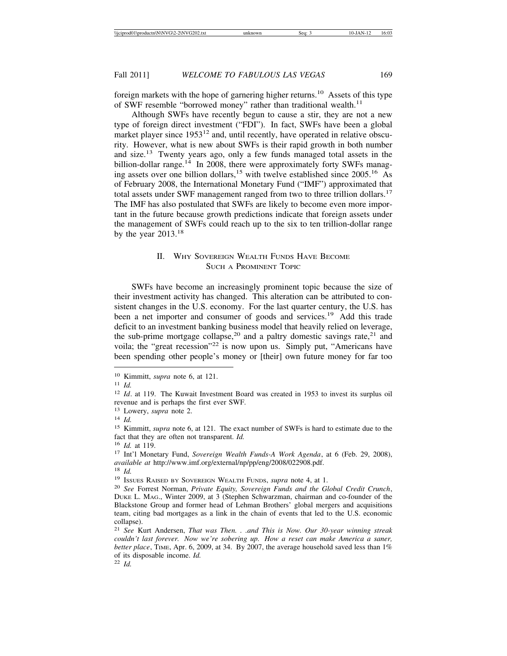foreign markets with the hope of garnering higher returns.10 Assets of this type of SWF resemble "borrowed money" rather than traditional wealth.<sup>11</sup>

Although SWFs have recently begun to cause a stir, they are not a new type of foreign direct investment ("FDI"). In fact, SWFs have been a global market player since 1953<sup>12</sup> and, until recently, have operated in relative obscurity. However, what is new about SWFs is their rapid growth in both number and size.13 Twenty years ago, only a few funds managed total assets in the billion-dollar range.<sup>14</sup> In 2008, there were approximately forty SWFs managing assets over one billion dollars,<sup>15</sup> with twelve established since  $2005$ <sup>16</sup> As of February 2008, the International Monetary Fund ("IMF") approximated that total assets under SWF management ranged from two to three trillion dollars.<sup>17</sup> The IMF has also postulated that SWFs are likely to become even more important in the future because growth predictions indicate that foreign assets under the management of SWFs could reach up to the six to ten trillion-dollar range by the year  $2013.^{18}$ 

## II. WHY SOVEREIGN WEALTH FUNDS HAVE BECOME SUCH A PROMINENT TOPIC

SWFs have become an increasingly prominent topic because the size of their investment activity has changed. This alteration can be attributed to consistent changes in the U.S. economy. For the last quarter century, the U.S. has been a net importer and consumer of goods and services.<sup>19</sup> Add this trade deficit to an investment banking business model that heavily relied on leverage, the sub-prime mortgage collapse,<sup>20</sup> and a paltry domestic savings rate,<sup>21</sup> and voila; the "great recession"22 is now upon us. Simply put, "Americans have been spending other people's money or [their] own future money for far too

<sup>13</sup> Lowery, *supra* note 2.

<sup>18</sup> *Id.*

<sup>10</sup> Kimmitt, *supra* note 6, at 121.

<sup>11</sup> *Id.*

<sup>12</sup> *Id*. at 119. The Kuwait Investment Board was created in 1953 to invest its surplus oil revenue and is perhaps the first ever SWF.

<sup>14</sup> *Id.*

<sup>15</sup> Kimmitt, *supra* note 6, at 121. The exact number of SWFs is hard to estimate due to the fact that they are often not transparent. *Id.*

<sup>16</sup> *Id.* at 119.

<sup>17</sup> Int'l Monetary Fund, *Sovereign Wealth Funds-A Work Agenda*, at 6 (Feb. 29, 2008), *available at* http://www.imf.org/external/np/pp/eng/2008/022908.pdf.

<sup>19</sup> ISSUES RAISED BY SOVEREIGN WEALTH FUNDS, *supra* note 4, at 1.

<sup>20</sup> *See* Forrest Norman, *Private Equity, Sovereign Funds and the Global Credit Crunch*, DUKE L. MAG., Winter 2009, at 3 (Stephen Schwarzman, chairman and co-founder of the Blackstone Group and former head of Lehman Brothers' global mergers and acquisitions team, citing bad mortgages as a link in the chain of events that led to the U.S. economic collapse).

<sup>21</sup> *See* Kurt Andersen, *That was Then. . .and This is Now. Our 30-year winning streak couldn't last forever. Now we're sobering up. How a reset can make America a saner, better place*, TIME, Apr. 6, 2009, at 34. By 2007, the average household saved less than 1% of its disposable income. *Id.*

<sup>22</sup> *Id.*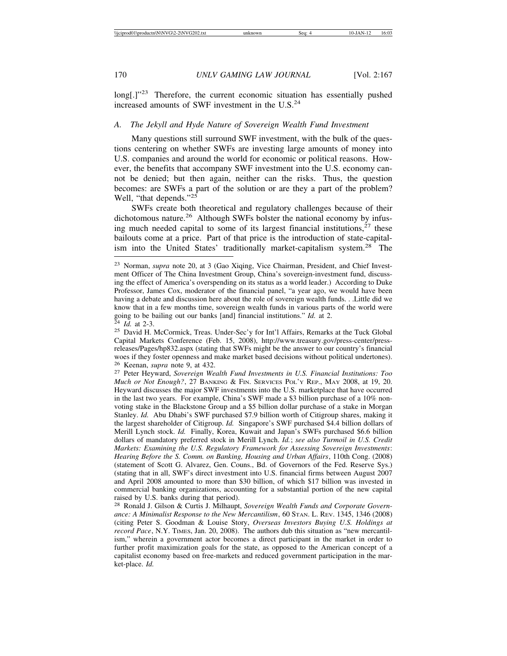long[.]"<sup>23</sup> Therefore, the current economic situation has essentially pushed increased amounts of SWF investment in the U.S.<sup>24</sup>

#### *A. The Jekyll and Hyde Nature of Sovereign Wealth Fund Investment*

Many questions still surround SWF investment, with the bulk of the questions centering on whether SWFs are investing large amounts of money into U.S. companies and around the world for economic or political reasons. However, the benefits that accompany SWF investment into the U.S. economy cannot be denied; but then again, neither can the risks. Thus, the question becomes: are SWFs a part of the solution or are they a part of the problem? Well, "that depends."<sup>25</sup>

SWFs create both theoretical and regulatory challenges because of their dichotomous nature.<sup>26</sup> Although SWFs bolster the national economy by infusing much needed capital to some of its largest financial institutions, $27$  these bailouts come at a price. Part of that price is the introduction of state-capitalism into the United States' traditionally market-capitalism system.<sup>28</sup> The

<sup>23</sup> Norman, *supra* note 20, at 3 (Gao Xiqing, Vice Chairman, President, and Chief Investment Officer of The China Investment Group, China's sovereign-investment fund, discussing the effect of America's overspending on its status as a world leader.) According to Duke Professor, James Cox, moderator of the financial panel, "a year ago, we would have been having a debate and discussion here about the role of sovereign wealth funds. . .Little did we know that in a few months time, sovereign wealth funds in various parts of the world were going to be bailing out our banks [and] financial institutions." *Id.* at 2.<br><sup>24</sup> *Id.* at 2-3.<br><sup>25</sup> David H. McCormick, Treas. Under-Sec'y for Int'l Affairs, Remarks at the Tuck Global

Capital Markets Conference (Feb. 15, 2008), http://www.treasury.gov/press-center/pressreleases/Pages/hp832.aspx (stating that SWFs might be the answer to our country's financial woes if they foster openness and make market based decisions without political undertones).<br><sup>26</sup> Keenan, *supra* note 9, at 432.

<sup>&</sup>lt;sup>27</sup> Peter Heyward, *Sovereign Wealth Fund Investments in U.S. Financial Institutions: Too Much or Not Enough?*, 27 BANKING & FIN. SERVICES POL'Y REP., MAY 2008, at 19, 20. Heyward discusses the major SWF investments into the U.S. marketplace that have occurred in the last two years. For example, China's SWF made a \$3 billion purchase of a 10% nonvoting stake in the Blackstone Group and a \$5 billion dollar purchase of a stake in Morgan Stanley. *Id.* Abu Dhabi's SWF purchased \$7.9 billion worth of Citigroup shares, making it the largest shareholder of Citigroup. *Id.* Singapore's SWF purchased \$4.4 billion dollars of Merill Lynch stock. *Id.* Finally, Korea, Kuwait and Japan's SWFs purchased \$6.6 billion dollars of mandatory preferred stock in Merill Lynch. *Id.*; *see also Turmoil in U.S. Credit Markets: Examining the U.S. Regulatory Framework for Assessing Sovereign Investments*: *Hearing Before the S. Comm. on Banking, Housing and Urban Affairs*, 110th Cong. (2008) (statement of Scott G. Alvarez, Gen. Couns., Bd. of Governors of the Fed. Reserve Sys.) (stating that in all, SWF's direct investment into U.S. financial firms between August 2007 and April 2008 amounted to more than \$30 billion, of which \$17 billion was invested in commercial banking organizations, accounting for a substantial portion of the new capital raised by U.S. banks during that period).

<sup>28</sup> Ronald J. Gilson & Curtis J. Milhaupt, *Sovereign Wealth Funds and Corporate Governance: A Minimalist Response to the New Mercantilism*, 60 STAN. L. REV. 1345, 1346 (2008) (citing Peter S. Goodman & Louise Story, *Overseas Investors Buying U.S. Holdings at record Pace*, N.Y. TIMES, Jan. 20, 2008). The authors dub this situation as "new mercantilism," wherein a government actor becomes a direct participant in the market in order to further profit maximization goals for the state, as opposed to the American concept of a capitalist economy based on free-markets and reduced government participation in the market-place. *Id.*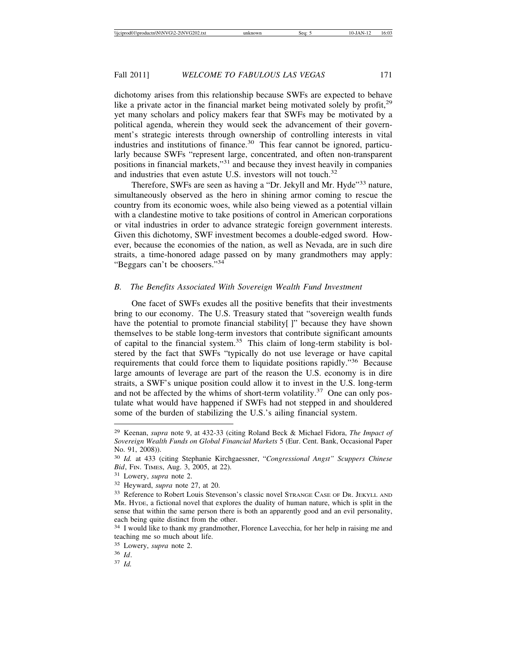dichotomy arises from this relationship because SWFs are expected to behave like a private actor in the financial market being motivated solely by profit,  $2^9$ yet many scholars and policy makers fear that SWFs may be motivated by a political agenda, wherein they would seek the advancement of their government's strategic interests through ownership of controlling interests in vital industries and institutions of finance.<sup>30</sup> This fear cannot be ignored, particularly because SWFs "represent large, concentrated, and often non-transparent positions in financial markets,"31 and because they invest heavily in companies and industries that even astute U.S. investors will not touch.<sup>32</sup>

Therefore, SWFs are seen as having a "Dr. Jekyll and Mr. Hyde"<sup>33</sup> nature, simultaneously observed as the hero in shining armor coming to rescue the country from its economic woes, while also being viewed as a potential villain with a clandestine motive to take positions of control in American corporations or vital industries in order to advance strategic foreign government interests. Given this dichotomy, SWF investment becomes a double-edged sword. However, because the economies of the nation, as well as Nevada, are in such dire straits, a time-honored adage passed on by many grandmothers may apply: "Beggars can't be choosers."<sup>34</sup>

#### *B. The Benefits Associated With Sovereign Wealth Fund Investment*

One facet of SWFs exudes all the positive benefits that their investments bring to our economy. The U.S. Treasury stated that "sovereign wealth funds have the potential to promote financial stability[]" because they have shown themselves to be stable long-term investors that contribute significant amounts of capital to the financial system.<sup>35</sup> This claim of long-term stability is bolstered by the fact that SWFs "typically do not use leverage or have capital requirements that could force them to liquidate positions rapidly."36 Because large amounts of leverage are part of the reason the U.S. economy is in dire straits, a SWF's unique position could allow it to invest in the U.S. long-term and not be affected by the whims of short-term volatility.<sup>37</sup> One can only postulate what would have happened if SWFs had not stepped in and shouldered some of the burden of stabilizing the U.S.'s ailing financial system.

<sup>29</sup> Keenan, *supra* note 9, at 432-33 (citing Roland Beck & Michael Fidora, *The Impact of Sovereign Wealth Funds on Global Financial Markets* 5 (Eur. Cent. Bank, Occasional Paper No. 91, 2008)).

<sup>30</sup> *Id.* at 433 (citing Stephanie Kirchgaessner, "*Congressional Angst" Scuppers Chinese Bid*, FIN. TIMES, Aug. 3, 2005, at 22).

<sup>31</sup> Lowery, *supra* note 2.

<sup>32</sup> Heyward, *supra* note 27, at 20.

<sup>33</sup> Reference to Robert Louis Stevenson's classic novel STRANGE CASE OF DR. JEKYLL AND MR. HYDE, a fictional novel that explores the duality of human nature, which is split in the sense that within the same person there is both an apparently good and an evil personality, each being quite distinct from the other.

<sup>&</sup>lt;sup>34</sup> I would like to thank my grandmother, Florence Lavecchia, for her help in raising me and teaching me so much about life.

<sup>35</sup> Lowery, *supra* note 2.

<sup>36</sup> *Id*.

<sup>37</sup> *Id.*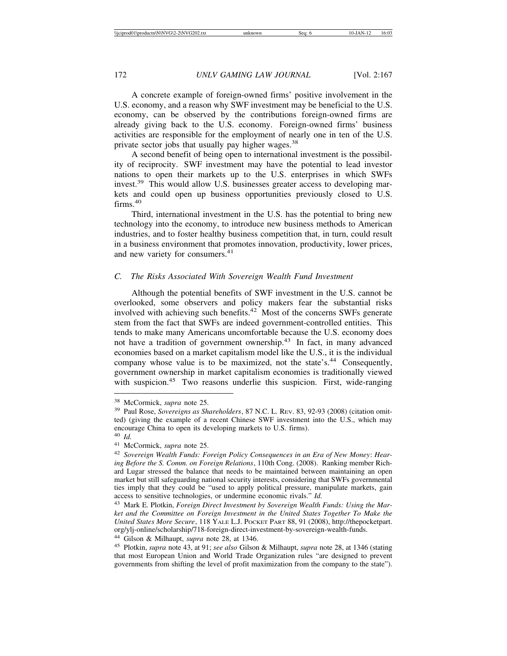A concrete example of foreign-owned firms' positive involvement in the U.S. economy, and a reason why SWF investment may be beneficial to the U.S. economy, can be observed by the contributions foreign-owned firms are already giving back to the U.S. economy. Foreign-owned firms' business activities are responsible for the employment of nearly one in ten of the U.S. private sector jobs that usually pay higher wages.<sup>38</sup>

A second benefit of being open to international investment is the possibility of reciprocity. SWF investment may have the potential to lead investor nations to open their markets up to the U.S. enterprises in which SWFs invest.<sup>39</sup> This would allow U.S. businesses greater access to developing markets and could open up business opportunities previously closed to U.S. firms.<sup>40</sup>

Third, international investment in the U.S. has the potential to bring new technology into the economy, to introduce new business methods to American industries, and to foster healthy business competition that, in turn, could result in a business environment that promotes innovation, productivity, lower prices, and new variety for consumers.<sup>41</sup>

## *C. The Risks Associated With Sovereign Wealth Fund Investment*

Although the potential benefits of SWF investment in the U.S. cannot be overlooked, some observers and policy makers fear the substantial risks involved with achieving such benefits.<sup>42</sup> Most of the concerns SWFs generate stem from the fact that SWFs are indeed government-controlled entities. This tends to make many Americans uncomfortable because the U.S. economy does not have a tradition of government ownership.43 In fact, in many advanced economies based on a market capitalism model like the U.S., it is the individual company whose value is to be maximized, not the state's.<sup>44</sup> Consequently, government ownership in market capitalism economies is traditionally viewed with suspicion.<sup>45</sup> Two reasons underlie this suspicion. First, wide-ranging

<sup>44</sup> Gilson & Milhaupt, *supra* note 28, at 1346.

<sup>38</sup> McCormick, *supra* note 25.

<sup>39</sup> Paul Rose, *Sovereigns as Shareholders*, 87 N.C. L. REV. 83, 92-93 (2008) (citation omitted) (giving the example of a recent Chinese SWF investment into the U.S., which may encourage China to open its developing markets to U.S. firms).

<sup>40</sup> *Id.*

<sup>41</sup> McCormick, *supra* note 25.

<sup>42</sup> *Sovereign Wealth Funds: Foreign Policy Consequences in an Era of New Money*: *Hearing Before the S. Comm. on Foreign Relations*, 110th Cong. (2008). Ranking member Richard Lugar stressed the balance that needs to be maintained between maintaining an open market but still safeguarding national security interests, considering that SWFs governmental ties imply that they could be "used to apply political pressure, manipulate markets, gain access to sensitive technologies, or undermine economic rivals." *Id.*

<sup>43</sup> Mark E. Plotkin, *Foreign Direct Investment by Sovereign Wealth Funds: Using the Market and the Committee on Foreign Investment in the United States Together To Make the United States More Secure*, 118 YALE L.J. POCKET PART 88, 91 (2008), http://thepocketpart. org/ylj-online/scholarship/718-foreign-direct-investment-by-sovereign-wealth-funds.

<sup>45</sup> Plotkin, *supra* note 43, at 91; *see also* Gilson & Milhaupt, *supra* note 28, at 1346 (stating that most European Union and World Trade Organization rules "are designed to prevent governments from shifting the level of profit maximization from the company to the state").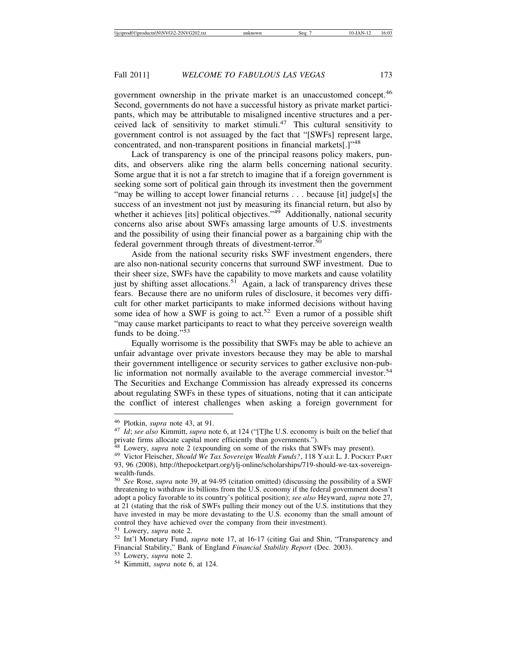government ownership in the private market is an unaccustomed concept.<sup>46</sup> Second, governments do not have a successful history as private market participants, which may be attributable to misaligned incentive structures and a perceived lack of sensitivity to market stimuli.<sup>47</sup> This cultural sensitivity to government control is not assuaged by the fact that "[SWFs] represent large, concentrated, and non-transparent positions in financial markets[.]"<sup>48</sup>

Lack of transparency is one of the principal reasons policy makers, pundits, and observers alike ring the alarm bells concerning national security. Some argue that it is not a far stretch to imagine that if a foreign government is seeking some sort of political gain through its investment then the government "may be willing to accept lower financial returns . . . because [it] judge[s] the success of an investment not just by measuring its financial return, but also by whether it achieves [its] political objectives." $4\overline{9}$  Additionally, national security concerns also arise about SWFs amassing large amounts of U.S. investments and the possibility of using their financial power as a bargaining chip with the federal government through threats of divestment-terror.<sup>50</sup>

Aside from the national security risks SWF investment engenders, there are also non-national security concerns that surround SWF investment. Due to their sheer size, SWFs have the capability to move markets and cause volatility just by shifting asset allocations.<sup>51</sup> Again, a lack of transparency drives these fears. Because there are no uniform rules of disclosure, it becomes very difficult for other market participants to make informed decisions without having some idea of how a SWF is going to act.<sup>52</sup> Even a rumor of a possible shift "may cause market participants to react to what they perceive sovereign wealth funds to be doing."<sup>53</sup>

Equally worrisome is the possibility that SWFs may be able to achieve an unfair advantage over private investors because they may be able to marshal their government intelligence or security services to gather exclusive non-public information not normally available to the average commercial investor.<sup>54</sup> The Securities and Exchange Commission has already expressed its concerns about regulating SWFs in these types of situations, noting that it can anticipate the conflict of interest challenges when asking a foreign government for

<sup>46</sup> Plotkin, *supra* note 43, at 91. <sup>47</sup> *Id*; *see also* Kimmitt, *supra* note 6, at 124 ("[T]he U.S. economy is built on the belief that private firms allocate capital more efficiently than governments.").

<sup>48</sup> Lowery, *supra* note 2 (expounding on some of the risks that SWFs may present). <sup>49</sup> Victor Fleischer, *Should We Tax Sovereign Wealth Funds?*, 118 YALE L. J. POCKET PART 93, 96 (2008), http://thepocketpart.org/ylj-online/scholarships/719-should-we-tax-sovereignwealth-funds.

<sup>50</sup> *See* Rose, *supra* note 39, at 94-95 (citation omitted) (discussing the possibility of a SWF threatening to withdraw its billions from the U.S. economy if the federal government doesn't adopt a policy favorable to its country's political position); *see also* Heyward, *supra* note 27, at 21 (stating that the risk of SWFs pulling their money out of the U.S. institutions that they have invested in may be more devastating to the U.S. economy than the small amount of control they have achieved over the company from their investment).

<sup>51</sup> Lowery, *supra* note 2. <sup>52</sup> Int'l Monetary Fund, *supra* note 17, at 16-17 (citing Gai and Shin, "Transparency and Financial Stability," Bank of England *Financial Stability Report* (Dec. 2003). <sup>53</sup> Lowery, *supra* note 2. <sup>54</sup> Kimmitt, *supra* note 6, at 124.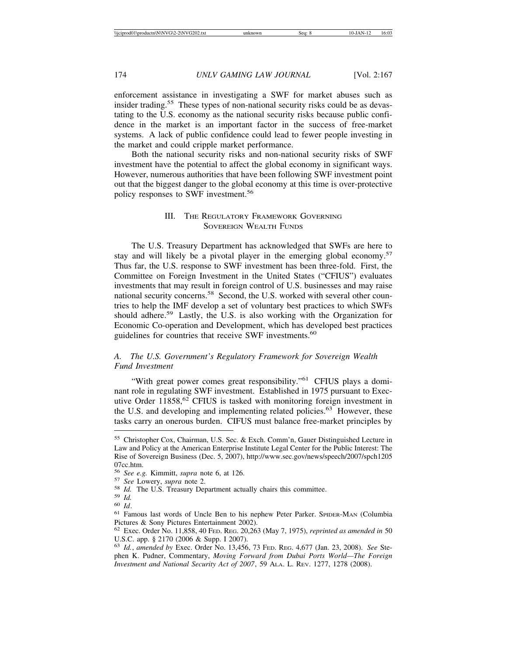enforcement assistance in investigating a SWF for market abuses such as insider trading.<sup>55</sup> These types of non-national security risks could be as devastating to the U.S. economy as the national security risks because public confidence in the market is an important factor in the success of free-market systems. A lack of public confidence could lead to fewer people investing in the market and could cripple market performance.

Both the national security risks and non-national security risks of SWF investment have the potential to affect the global economy in significant ways. However, numerous authorities that have been following SWF investment point out that the biggest danger to the global economy at this time is over-protective policy responses to SWF investment.<sup>56</sup>

## III. THE REGULATORY FRAMEWORK GOVERNING SOVEREIGN WEALTH FUNDS

The U.S. Treasury Department has acknowledged that SWFs are here to stay and will likely be a pivotal player in the emerging global economy.<sup>57</sup> Thus far, the U.S. response to SWF investment has been three-fold. First, the Committee on Foreign Investment in the United States ("CFIUS") evaluates investments that may result in foreign control of U.S. businesses and may raise national security concerns.<sup>58</sup> Second, the U.S. worked with several other countries to help the IMF develop a set of voluntary best practices to which SWFs should adhere.<sup>59</sup> Lastly, the U.S. is also working with the Organization for Economic Co-operation and Development, which has developed best practices guidelines for countries that receive SWF investments.<sup>60</sup>

## *A. The U.S. Government's Regulatory Framework for Sovereign Wealth Fund Investment*

"With great power comes great responsibility."<sup>61</sup> CFIUS plays a dominant role in regulating SWF investment. Established in 1975 pursuant to Executive Order 11858,<sup>62</sup> CFIUS is tasked with monitoring foreign investment in the U.S. and developing and implementing related policies.<sup>63</sup> However, these tasks carry an onerous burden. CIFUS must balance free-market principles by

<sup>55</sup> Christopher Cox, Chairman, U.S. Sec. & Exch. Comm'n, Gauer Distinguished Lecture in Law and Policy at the American Enterprise Institute Legal Center for the Public Interest: The Rise of Sovereign Business (Dec. 5, 2007), http://www.sec.gov/news/speech/2007/spch1205 07cc.htm.<br><sup>56</sup> See e.g. Kimmitt, supra note 6, at 126.

<sup>&</sup>lt;sup>57</sup> See Lowery, *supra* note 2.<br>
<sup>58</sup> *Id.* The U.S. Treasury Department actually chairs this committee.<br>
<sup>59</sup> *Id.*<br>
<sup>60</sup> *Id.*<br>
<sup>61</sup> Famous last words of Uncle Ben to his nephew Peter Parker. SPIDER-MAN (Columbia Pictures & Sony Pictures Entertainment 2002).

<sup>62</sup> Exec. Order No. 11,858, 40 FED. REG. 20,263 (May 7, 1975), *reprinted as amended in* 50 U.S.C. app. § 2170 (2006 & Supp. I 2007).

<sup>63</sup> *Id.*, *amended by* Exec. Order No. 13,456, 73 FED. REG. 4,677 (Jan. 23, 2008). *See* Stephen K. Pudner, Commentary, *Moving Forward from Dubai Ports World—The Foreign Investment and National Security Act of 2007*, 59 ALA. L. REV. 1277, 1278 (2008).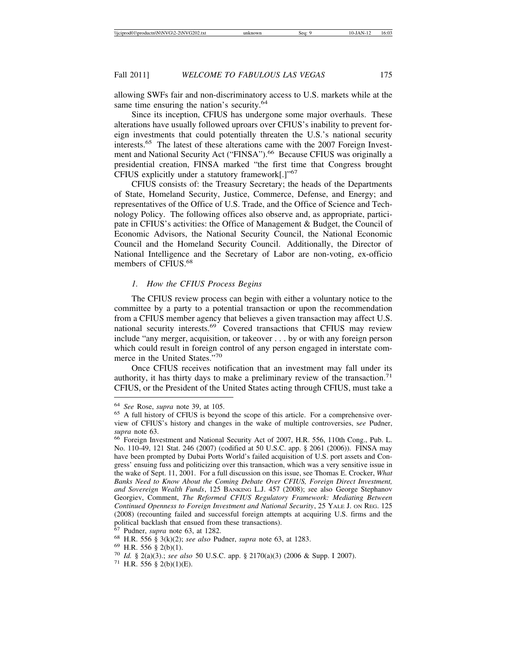allowing SWFs fair and non-discriminatory access to U.S. markets while at the same time ensuring the nation's security. $64$ 

Since its inception, CFIUS has undergone some major overhauls. These alterations have usually followed uproars over CFIUS's inability to prevent foreign investments that could potentially threaten the U.S.'s national security interests.<sup>65</sup> The latest of these alterations came with the 2007 Foreign Investment and National Security Act ("FINSA").<sup>66</sup> Because CFIUS was originally a presidential creation, FINSA marked "the first time that Congress brought CFIUS explicitly under a statutory framework[.]"<sup>67</sup>

CFIUS consists of: the Treasury Secretary; the heads of the Departments of State, Homeland Security, Justice, Commerce, Defense, and Energy; and representatives of the Office of U.S. Trade, and the Office of Science and Technology Policy. The following offices also observe and, as appropriate, participate in CFIUS's activities: the Office of Management & Budget, the Council of Economic Advisors, the National Security Council, the National Economic Council and the Homeland Security Council. Additionally, the Director of National Intelligence and the Secretary of Labor are non-voting, ex-officio members of CFIUS.<sup>68</sup>

## *1. How the CFIUS Process Begins*

The CFIUS review process can begin with either a voluntary notice to the committee by a party to a potential transaction or upon the recommendation from a CFIUS member agency that believes a given transaction may affect U.S. national security interests.69 Covered transactions that CFIUS may review include "any merger, acquisition, or takeover . . . by or with any foreign person which could result in foreign control of any person engaged in interstate commerce in the United States."<sup>70</sup>

Once CFIUS receives notification that an investment may fall under its authority, it has thirty days to make a preliminary review of the transaction.<sup>71</sup> CFIUS, or the President of the United States acting through CFIUS, must take a

<sup>64</sup> *See* Rose, *supra* note 39, at 105. <sup>65</sup> A full history of CFIUS is beyond the scope of this article. For a comprehensive overview of CFIUS's history and changes in the wake of multiple controversies, s*ee* Pudner, *supra* note 63.<br><sup>66</sup> Foreign Investment and National Security Act of 2007, H.R. 556, 110th Cong., Pub. L.

No. 110-49, 121 Stat. 246 (2007) (codified at 50 U.S.C. app. § 2061 (2006)). FINSA may have been prompted by Dubai Ports World's failed acquisition of U.S. port assets and Congress' ensuing fuss and politicizing over this transaction, which was a very sensitive issue in the wake of Sept. 11, 2001. For a full discussion on this issue, see Thomas E. Crocker, *What Banks Need to Know About the Coming Debate Over CFIUS, Foreign Direct Investment, and Sovereign Wealth Funds*, 125 BANKING L.J. 457 (2008); *s*ee also George Stephanov Georgiev, Comment, *The Reformed CFIUS Regulatory Framework: Mediating Between Continued Openness to Foreign Investment and National Security*, 25 YALE J. ON REG. 125 (2008) (recounting failed and successful foreign attempts at acquiring U.S. firms and the political backlash that ensued from these transactions).<br>
<sup>67</sup> Pudner, *supra* note 63, at 1282.<br>
<sup>68</sup> H.R. 556 § 3(k)(2); *see also* Pudner, *supra* note 63, at 1283.<br>
<sup>69</sup> H.R. 556 § 2(b)(1).<br>
<sup>70</sup> Id. § 2(a)(3); *see a*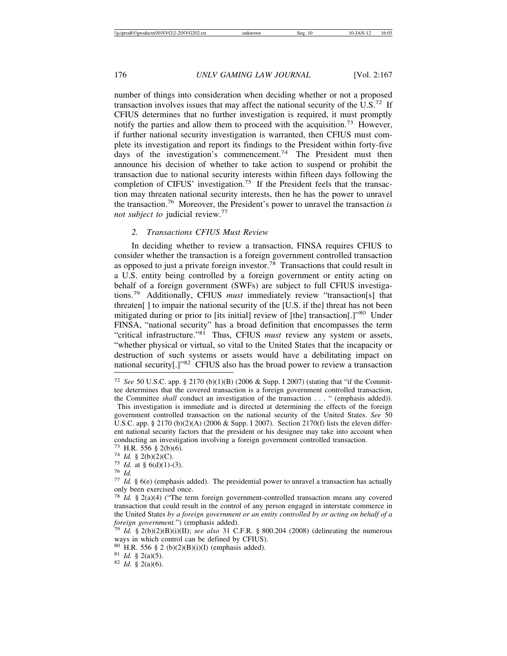number of things into consideration when deciding whether or not a proposed transaction involves issues that may affect the national security of the  $U.S.^{72}$  If CFIUS determines that no further investigation is required, it must promptly notify the parties and allow them to proceed with the acquisition.<sup>73</sup> However, if further national security investigation is warranted, then CFIUS must complete its investigation and report its findings to the President within forty-five days of the investigation's commencement.<sup>74</sup> The President must then announce his decision of whether to take action to suspend or prohibit the transaction due to national security interests within fifteen days following the completion of CIFUS' investigation.<sup>75</sup> If the President feels that the transaction may threaten national security interests, then he has the power to unravel the transaction.76 Moreover, the President's power to unravel the transaction *is not subject to* judicial review.<sup>77</sup>

## *2. Transactions CFIUS Must Review*

In deciding whether to review a transaction, FINSA requires CFIUS to consider whether the transaction is a foreign government controlled transaction as opposed to just a private foreign investor.78 Transactions that could result in a U.S. entity being controlled by a foreign government or entity acting on behalf of a foreign government (SWFs) are subject to full CFIUS investigations.79 Additionally, CFIUS *must* immediately review "transaction[s] that threaten[ ] to impair the national security of the [U.S. if the] threat has not been mitigated during or prior to [its initial] review of [the] transaction[.]"80 Under FINSA, "national security" has a broad definition that encompasses the term "critical infrastructure."<sup>81</sup> Thus, CFIUS *must* review any system or assets, "whether physical or virtual, so vital to the United States that the incapacity or destruction of such systems or assets would have a debilitating impact on national security[.]"82 CFIUS also has the broad power to review a transaction

<sup>72</sup> *See* 50 U.S.C. app. § 2170 (b)(1)(B) (2006 & Supp. I 2007) (stating that "if the Committee determines that the covered transaction is a foreign government controlled transaction, the Committee *shall* conduct an investigation of the transaction . . . " (emphasis added)).

This investigation is immediate and is directed at determining the effects of the foreign government controlled transaction on the national security of the United States. *See* 50 U.S.C. app. § 2170 (b)(2)(A) (2006 & Supp. I 2007). Section 2170(f) lists the eleven different national security factors that the president or his designee may take into account when conducting an investigation involving a foreign government controlled transaction.

<sup>73</sup> H.R. 556 § 2(b)(6).<br>
74 *Id.* § 2(b)(2)(C).<br>
75 *Id.* at § 6(d)(1)-(3).<br>
76 *Id.*<br>
77 *Id.* § 6(e) (emphasis added). The presidential power to unravel a transaction has actually only been exercised once.

<sup>78</sup> *Id.* § 2(a)(4) ("The term foreign government-controlled transaction means any covered transaction that could result in the control of any person engaged in interstate commerce in the United States *by a foreign government or an entity controlled by or acting on behalf of a*

 $f^{9}$  *Id.* § 2(b)(2)(B)(i)(II); *see also* 31 C.F.R. § 800.204 (2008) (delineating the numerous ways in which control can be defined by CFIUS).

<sup>80</sup> H.R. 556 § 2 (b)(2)(B)(i)(I) (emphasis added). <sup>81</sup> *Id.* § 2(a)(5). <sup>82</sup> *Id.* § 2(a)(6).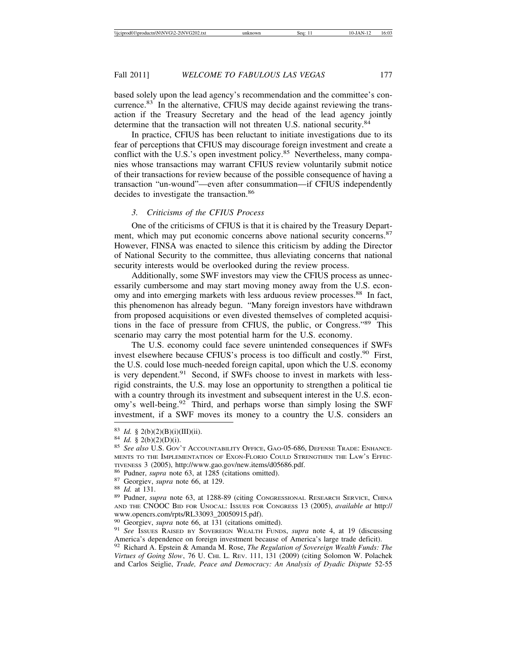based solely upon the lead agency's recommendation and the committee's concurrence.<sup>83</sup> In the alternative, CFIUS may decide against reviewing the transaction if the Treasury Secretary and the head of the lead agency jointly determine that the transaction will not threaten U.S. national security.<sup>84</sup>

In practice, CFIUS has been reluctant to initiate investigations due to its fear of perceptions that CFIUS may discourage foreign investment and create a conflict with the U.S.'s open investment policy.<sup>85</sup> Nevertheless, many companies whose transactions may warrant CFIUS review voluntarily submit notice of their transactions for review because of the possible consequence of having a transaction "un-wound"—even after consummation—if CFIUS independently decides to investigate the transaction.<sup>86</sup>

## *3. Criticisms of the CFIUS Process*

One of the criticisms of CFIUS is that it is chaired by the Treasury Department, which may put economic concerns above national security concerns.<sup>87</sup> However, FINSA was enacted to silence this criticism by adding the Director of National Security to the committee, thus alleviating concerns that national security interests would be overlooked during the review process.

Additionally, some SWF investors may view the CFIUS process as unnecessarily cumbersome and may start moving money away from the U.S. economy and into emerging markets with less arduous review processes.<sup>88</sup> In fact, this phenomenon has already begun. "Many foreign investors have withdrawn from proposed acquisitions or even divested themselves of completed acquisitions in the face of pressure from CFIUS, the public, or Congress."89 This scenario may carry the most potential harm for the U.S. economy.

The U.S. economy could face severe unintended consequences if SWFs invest elsewhere because CFIUS's process is too difficult and costly.<sup>90</sup> First, the U.S. could lose much-needed foreign capital, upon which the U.S. economy is very dependent.<sup>91</sup> Second, if SWFs choose to invest in markets with lessrigid constraints, the U.S. may lose an opportunity to strengthen a political tie with a country through its investment and subsequent interest in the U.S. economy's well-being.<sup>92</sup> Third, and perhaps worse than simply losing the SWF investment, if a SWF moves its money to a country the U.S. considers an

<sup>83</sup> *Id.* § 2(b)(2)(B)(i)(III)(ii).<br><sup>84</sup> *Id.* § 2(b)(2)(D)(i).<br><sup>85</sup> *See also* U.S. Gov't Accountability Office, Gao-05-686, Defense Trade: Enhance-MENTS TO THE IMPLEMENTATION OF EXON-FLORIO COULD STRENGTHEN THE LAW'S EFFEC-TIVENESS 3 (2005), http://www.gao.gov/new.items/d05686.pdf.<br>
<sup>86</sup> Pudner, *supra* note 63, at 1285 (citations omitted).<br>
<sup>87</sup> Georgiev, *supra* note 66, at 129.<br>
<sup>88</sup> Id. at 131.<br>
<sup>89</sup> Pudner, *supra* note 63, at 1288-89 (

AND THE CNOOC BID FOR UNOCAL: ISSUES FOR CONGRESS 13 (2005), *available at* http:// www.opencrs.com/rpts/RL33093\_20050915.pdf).<br><sup>90</sup> Georgiev, *supra* note 66, at 131 (citations omitted).

<sup>&</sup>lt;sup>91</sup> See Issues RAISED BY SOVEREIGN WEALTH FUNDS, *supra* note 4, at 19 (discussing America's dependence on foreign investment because of America's large trade deficit).

<sup>92</sup> Richard A. Epstein & Amanda M. Rose, *The Regulation of Sovereign Wealth Funds: The Virtues of Going Slow*, 76 U. CHI. L. REV. 111, 131 (2009) (citing Solomon W. Polachek and Carlos Seiglie, *Trade, Peace and Democracy: An Analysis of Dyadic Dispute* 52-55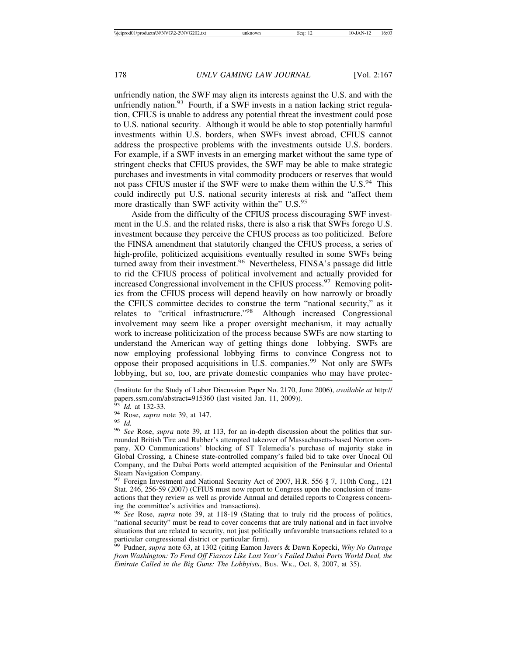unfriendly nation, the SWF may align its interests against the U.S. and with the unfriendly nation.<sup>93</sup> Fourth, if a SWF invests in a nation lacking strict regulation, CFIUS is unable to address any potential threat the investment could pose to U.S. national security. Although it would be able to stop potentially harmful investments within U.S. borders, when SWFs invest abroad, CFIUS cannot address the prospective problems with the investments outside U.S. borders. For example, if a SWF invests in an emerging market without the same type of stringent checks that CFIUS provides, the SWF may be able to make strategic purchases and investments in vital commodity producers or reserves that would not pass CFIUS muster if the SWF were to make them within the U.S.<sup>94</sup> This could indirectly put U.S. national security interests at risk and "affect them more drastically than SWF activity within the" U.S.<sup>95</sup>

Aside from the difficulty of the CFIUS process discouraging SWF investment in the U.S. and the related risks, there is also a risk that SWFs forego U.S. investment because they perceive the CFIUS process as too politicized. Before the FINSA amendment that statutorily changed the CFIUS process, a series of high-profile, politicized acquisitions eventually resulted in some SWFs being turned away from their investment.<sup>96</sup> Nevertheless, FINSA's passage did little to rid the CFIUS process of political involvement and actually provided for increased Congressional involvement in the CFIUS process.<sup>97</sup> Removing politics from the CFIUS process will depend heavily on how narrowly or broadly the CFIUS committee decides to construe the term "national security," as it relates to "critical infrastructure."98 Although increased Congressional involvement may seem like a proper oversight mechanism, it may actually work to increase politicization of the process because SWFs are now starting to understand the American way of getting things done—lobbying. SWFs are now employing professional lobbying firms to convince Congress not to oppose their proposed acquisitions in U.S. companies.<sup>99</sup> Not only are SWFs lobbying, but so, too, are private domestic companies who may have protec-

 $\frac{97}{97}$  Foreign Investment and National Security Act of 2007, H.R. 556 § 7, 110th Cong., 121 Stat. 246, 256-59 (2007) (CFIUS must now report to Congress upon the conclusion of transactions that they review as well as provide Annual and detailed reports to Congress concerning the committee's activities and transactions).

<sup>98</sup> *See* Rose, *supra* note 39, at 118-19 (Stating that to truly rid the process of politics, "national security" must be read to cover concerns that are truly national and in fact involve situations that are related to security, not just politically unfavorable transactions related to a particular congressional district or particular firm). <sup>99</sup> Pudner, *supra* note 63, at 1302 (citing Eamon Javers & Dawn Kopecki, *Why No Outrage*

*from Washington: To Fend Off Fiascos Like Last Year's Failed Dubai Ports World Deal, the Emirate Called in the Big Guns: The Lobbyists*, BUS. WK., Oct. 8, 2007, at 35).

<sup>(</sup>Institute for the Study of Labor Discussion Paper No. 2170, June 2006), *available at* http:// papers.ssrn.com/abstract=915360 (last visited  $\hat{J}$ an. 11, 2009)).<br><sup>93</sup> Id. at 132-33.

<sup>93</sup> *Id.* at 132-33. <sup>94</sup> Rose, *supra* note 39, at 147. <sup>95</sup> *Id.* <sup>96</sup> *See* Rose, *supra* note 39, at 113, for an in-depth discussion about the politics that surrounded British Tire and Rubber's attempted takeover of Massachusetts-based Norton company, XO Communications' blocking of ST Telemedia's purchase of majority stake in Global Crossing, a Chinese state-controlled company's failed bid to take over Unocal Oil Company, and the Dubai Ports world attempted acquisition of the Peninsular and Oriental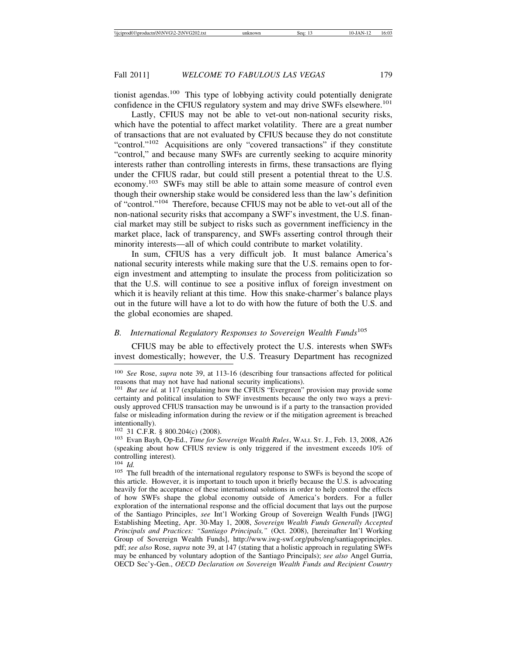tionist agendas.100 This type of lobbying activity could potentially denigrate confidence in the CFIUS regulatory system and may drive SWFs elsewhere.<sup>101</sup>

Lastly, CFIUS may not be able to vet-out non-national security risks, which have the potential to affect market volatility. There are a great number of transactions that are not evaluated by CFIUS because they do not constitute "control."<sup>102</sup> Acquisitions are only "covered transactions" if they constitute "control," and because many SWFs are currently seeking to acquire minority interests rather than controlling interests in firms, these transactions are flying under the CFIUS radar, but could still present a potential threat to the U.S. economy.103 SWFs may still be able to attain some measure of control even though their ownership stake would be considered less than the law's definition of "control."104 Therefore, because CFIUS may not be able to vet-out all of the non-national security risks that accompany a SWF's investment, the U.S. financial market may still be subject to risks such as government inefficiency in the market place, lack of transparency, and SWFs asserting control through their minority interests—all of which could contribute to market volatility.

In sum, CFIUS has a very difficult job. It must balance America's national security interests while making sure that the U.S. remains open to foreign investment and attempting to insulate the process from politicization so that the U.S. will continue to see a positive influx of foreign investment on which it is heavily reliant at this time. How this snake-charmer's balance plays out in the future will have a lot to do with how the future of both the U.S. and the global economies are shaped.

## *B. International Regulatory Responses to Sovereign Wealth Funds*<sup>105</sup>

CFIUS may be able to effectively protect the U.S. interests when SWFs invest domestically; however, the U.S. Treasury Department has recognized

<sup>100</sup> *See* Rose, *supra* note 39, at 113-16 (describing four transactions affected for political reasons that may not have had national security implications).

<sup>&</sup>lt;sup>101</sup> *But see id.* at 117 (explaining how the CFIUS "Evergreen" provision may provide some certainty and political insulation to SWF investments because the only two ways a previously approved CFIUS transaction may be unwound is if a party to the transaction provided false or misleading information during the review or if the mitigation agreement is breached intentionally).<br><sup>102</sup> 31 C.F.R. § 800.204(c) (2008).

<sup>&</sup>lt;sup>103</sup> Evan Bayh, Op-Ed., *Time for Sovereign Wealth Rules*, WALL St. J., Feb. 13, 2008, A26 (speaking about how CFIUS review is only triggered if the investment exceeds 10% of controlling interest).<br> $^{104}$  *Id.* 

<sup>&</sup>lt;sup>105</sup> The full breadth of the international regulatory response to SWFs is beyond the scope of this article. However, it is important to touch upon it briefly because the U.S. is advocating heavily for the acceptance of these international solutions in order to help control the effects of how SWFs shape the global economy outside of America's borders. For a fuller exploration of the international response and the official document that lays out the purpose of the Santiago Principles, *see* Int'l Working Group of Sovereign Wealth Funds [IWG] Establishing Meeting, Apr. 30-May 1, 2008, *Sovereign Wealth Funds Generally Accepted Principals and Practices: "Santiago Principals,"* (Oct. 2008), [hereinafter Int'l Working Group of Sovereign Wealth Funds], http://www.iwg-swf.org/pubs/eng/santiagoprinciples. pdf; *see also* Rose, *supra* note 39, at 147 (stating that a holistic approach in regulating SWFs may be enhanced by voluntary adoption of the Santiago Principals); *see also* Angel Gurria, OECD Sec'y-Gen., *OECD Declaration on Sovereign Wealth Funds and Recipient Country*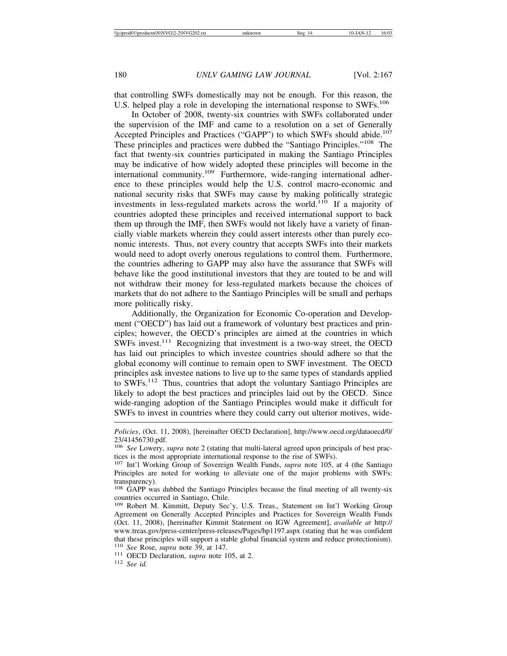that controlling SWFs domestically may not be enough. For this reason, the U.S. helped play a role in developing the international response to SWFs.<sup>106</sup>

In October of 2008, twenty-six countries with SWFs collaborated under the supervision of the IMF and came to a resolution on a set of Generally Accepted Principles and Practices ("GAPP") to which SWFs should abide.<sup>107</sup> These principles and practices were dubbed the "Santiago Principles."108 The fact that twenty-six countries participated in making the Santiago Principles may be indicative of how widely adopted these principles will become in the international community.<sup>109</sup> Furthermore, wide-ranging international adherence to these principles would help the U.S. control macro-economic and national security risks that SWFs may cause by making politically strategic investments in less-regulated markets across the world.<sup>110</sup> If a majority of countries adopted these principles and received international support to back them up through the IMF, then SWFs would not likely have a variety of financially viable markets wherein they could assert interests other than purely economic interests. Thus, not every country that accepts SWFs into their markets would need to adopt overly onerous regulations to control them. Furthermore, the countries adhering to GAPP may also have the assurance that SWFs will behave like the good institutional investors that they are touted to be and will not withdraw their money for less-regulated markets because the choices of markets that do not adhere to the Santiago Principles will be small and perhaps more politically risky.

Additionally, the Organization for Economic Co-operation and Development ("OECD") has laid out a framework of voluntary best practices and principles; however, the OECD's principles are aimed at the countries in which SWFs invest.111 Recognizing that investment is a two-way street, the OECD has laid out principles to which investee countries should adhere so that the global economy will continue to remain open to SWF investment. The OECD principles ask investee nations to live up to the same types of standards applied to SWFs.112 Thus, countries that adopt the voluntary Santiago Principles are likely to adopt the best practices and principles laid out by the OECD. Since wide-ranging adoption of the Santiago Principles would make it difficult for SWFs to invest in countries where they could carry out ulterior motives, wide-

*Policies*, (Oct. 11, 2008), [hereinafter OECD Declaration], http://www.oecd.org/dataoecd/0/ 23/41456730.pdf.

<sup>106</sup> *See* Lowery, *supra* note 2 (stating that multi-lateral agreed upon principals of best practices is the most appropriate international response to the rise of SWFs).

<sup>107</sup> Int'l Working Group of Sovereign Wealth Funds, *supra* note 105, at 4 (the Santiago Principles are noted for working to alleviate one of the major problems with SWFs: transparency).

<sup>108</sup> GAPP was dubbed the Santiago Principles because the final meeting of all twenty-six countries occurred in Santiago, Chile.

<sup>109</sup> Robert M. Kimmitt, Deputy Sec'y, U.S. Treas., Statement on Int'l Working Group Agreement on Generally Accepted Principles and Practices for Sovereign Wealth Funds (Oct. 11, 2008), [hereinafter Kimmit Statement on IGW Agreement], *available at* http:// www.treas.gov/press-center/press-releases/Pages/hp1197.aspx (stating that he was confident that these principles will support a stable global financial system and reduce protectionism).<br><sup>110</sup> See Rose, supra note 39, at 147.

<sup>&</sup>lt;sup>111</sup> **OECD** Declaration, *supra* note 105, at 2. <sup>112</sup> *See id.*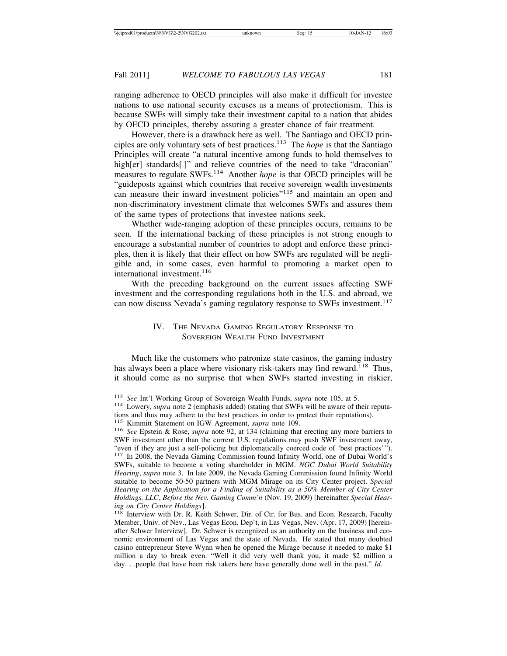ranging adherence to OECD principles will also make it difficult for investee nations to use national security excuses as a means of protectionism. This is because SWFs will simply take their investment capital to a nation that abides by OECD principles, thereby assuring a greater chance of fair treatment.

However, there is a drawback here as well. The Santiago and OECD principles are only voluntary sets of best practices.113 The *hope* is that the Santiago Principles will create "a natural incentive among funds to hold themselves to high[er] standards[]" and relieve countries of the need to take "draconian" measures to regulate SWFs.114 Another *hope* is that OECD principles will be "guideposts against which countries that receive sovereign wealth investments can measure their inward investment policies"115 and maintain an open and non-discriminatory investment climate that welcomes SWFs and assures them of the same types of protections that investee nations seek.

Whether wide-ranging adoption of these principles occurs, remains to be seen. If the international backing of these principles is not strong enough to encourage a substantial number of countries to adopt and enforce these principles, then it is likely that their effect on how SWFs are regulated will be negligible and, in some cases, even harmful to promoting a market open to international investment.<sup>116</sup>

With the preceding background on the current issues affecting SWF investment and the corresponding regulations both in the U.S. and abroad, we can now discuss Nevada's gaming regulatory response to SWFs investment.<sup>117</sup>

## IV. THE NEVADA GAMING REGULATORY RESPONSE TO SOVEREIGN WEALTH FUND INVESTMENT

Much like the customers who patronize state casinos, the gaming industry has always been a place where visionary risk-takers may find reward.<sup>118</sup> Thus, it should come as no surprise that when SWFs started investing in riskier,

<sup>113</sup> *See* Int'l Working Group of Sovereign Wealth Funds, *supra* note 105, at 5. <sup>114</sup> Lowery, *supra* note 2 (emphasis added) (stating that SWFs will be aware of their reputations and thus may adhere to the best practices in order to protect their reputations).<br><sup>115</sup> Kimmitt Statement on IGW Agreement, *supra* note 109.

<sup>&</sup>lt;sup>116</sup> See Epstein & Rose, *supra* note 92, at 134 (claiming that erecting any more barriers to SWF investment other than the current U.S. regulations may push SWF investment away, "even if they are just a self-policing but diplomatically coerced code of 'best practices'"). <sup>117</sup> In 2008, the Nevada Gaming Commission found Infinity World, one of Dubai World's SWFs, suitable to become a voting shareholder in MGM. *NGC Dubai World Suitability Hearing*, *supra* note 3. In late 2009, the Nevada Gaming Commission found Infinity World suitable to become 50-50 partners with MGM Mirage on its City Center project. *Special Hearing on the Application for a Finding of Suitability as a 50% Member of City Center Holdings, LLC*, *Before the Nev. Gaming Comm'n* (Nov. 19, 2009) [hereinafter *Special Hearing on City Center Holdings*].<br><sup>118</sup> Interview with Dr. R. Keith Schwer, Dir. of Ctr. for Bus. and Econ. Research, Faculty

Member, Univ. of Nev., Las Vegas Econ. Dep't, in Las Vegas, Nev. (Apr. 17, 2009) [hereinafter Schwer Interview]. Dr. Schwer is recognized as an authority on the business and economic environment of Las Vegas and the state of Nevada. He stated that many doubted casino entrepreneur Steve Wynn when he opened the Mirage because it needed to make \$1 million a day to break even. "Well it did very well thank you, it made \$2 million a day. . .people that have been risk takers here have generally done well in the past." *Id.*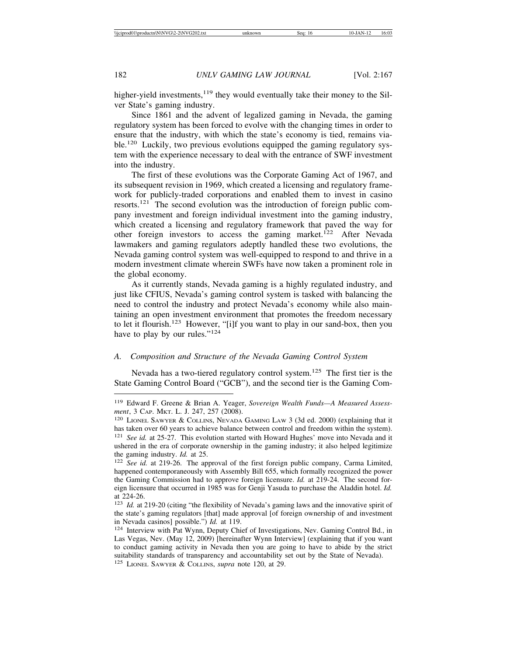higher-yield investments, $1^{19}$  they would eventually take their money to the Silver State's gaming industry.

Since 1861 and the advent of legalized gaming in Nevada, the gaming regulatory system has been forced to evolve with the changing times in order to ensure that the industry, with which the state's economy is tied, remains viable.<sup>120</sup> Luckily, two previous evolutions equipped the gaming regulatory system with the experience necessary to deal with the entrance of SWF investment into the industry.

The first of these evolutions was the Corporate Gaming Act of 1967, and its subsequent revision in 1969, which created a licensing and regulatory framework for publicly-traded corporations and enabled them to invest in casino resorts.121 The second evolution was the introduction of foreign public company investment and foreign individual investment into the gaming industry, which created a licensing and regulatory framework that paved the way for other foreign investors to access the gaming market.<sup>122</sup> After Nevada lawmakers and gaming regulators adeptly handled these two evolutions, the Nevada gaming control system was well-equipped to respond to and thrive in a modern investment climate wherein SWFs have now taken a prominent role in the global economy.

As it currently stands, Nevada gaming is a highly regulated industry, and just like CFIUS, Nevada's gaming control system is tasked with balancing the need to control the industry and protect Nevada's economy while also maintaining an open investment environment that promotes the freedom necessary to let it flourish.<sup>123</sup> However, "[i]f you want to play in our sand-box, then you have to play by our rules."<sup>124</sup>

## *A. Composition and Structure of the Nevada Gaming Control System*

Nevada has a two-tiered regulatory control system.125 The first tier is the State Gaming Control Board ("GCB"), and the second tier is the Gaming Com-

<sup>119</sup> Edward F. Greene & Brian A. Yeager, *Sovereign Wealth Funds—A Measured Assessment*, 3 CAP. MKT. L. J. 247, 257 (2008).

<sup>120</sup> LIONEL SAWYER & COLLINS, NEVADA GAMING LAW 3 (3d ed. 2000) (explaining that it has taken over 60 years to achieve balance between control and freedom within the system). <sup>121</sup> *See id.* at 25-27. This evolution started with Howard Hughes' move into Nevada and it ushered in the era of corporate ownership in the gaming industry; it also helped legitimize the gaming industry. *Id.* at 25.

<sup>&</sup>lt;sup>122</sup> *See id.* at 219-26. The approval of the first foreign public company, Carma Limited, happened contemporaneously with Assembly Bill 655, which formally recognized the power the Gaming Commission had to approve foreign licensure. *Id.* at 219-24. The second foreign licensure that occurred in 1985 was for Genji Yasuda to purchase the Aladdin hotel. *Id.* at 224-26.

<sup>123</sup> *Id.* at 219-20 (citing "the flexibility of Nevada's gaming laws and the innovative spirit of the state's gaming regulators [that] made approval [of foreign ownership of and investment in Nevada casinos] possible.") *Id.* at 119.

<sup>124</sup> Interview with Pat Wynn, Deputy Chief of Investigations, Nev. Gaming Control Bd., in Las Vegas, Nev. (May 12, 2009) [hereinafter Wynn Interview] (explaining that if you want to conduct gaming activity in Nevada then you are going to have to abide by the strict suitability standards of transparency and accountability set out by the State of Nevada). <sup>125</sup> LIONEL SAWYER & COLLINS, *supra* note 120, at 29.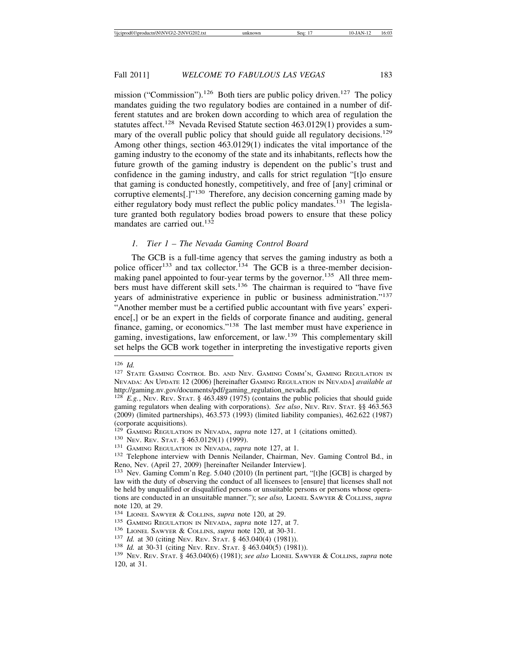mission ("Commission").<sup>126</sup> Both tiers are public policy driven.<sup>127</sup> The policy mandates guiding the two regulatory bodies are contained in a number of different statutes and are broken down according to which area of regulation the statutes affect.<sup>128</sup> Nevada Revised Statute section 463.0129(1) provides a summary of the overall public policy that should guide all regulatory decisions.<sup>129</sup> Among other things, section 463.0129(1) indicates the vital importance of the gaming industry to the economy of the state and its inhabitants, reflects how the future growth of the gaming industry is dependent on the public's trust and confidence in the gaming industry, and calls for strict regulation "[t]o ensure that gaming is conducted honestly, competitively, and free of [any] criminal or corruptive elements<sup>[1]</sup><sup>130</sup> Therefore, any decision concerning gaming made by either regulatory body must reflect the public policy mandates.<sup>131</sup> The legislature granted both regulatory bodies broad powers to ensure that these policy mandates are carried out.<sup>132</sup>

#### *1. Tier 1 – The Nevada Gaming Control Board*

The GCB is a full-time agency that serves the gaming industry as both a police officer<sup>133</sup> and tax collector.<sup>134</sup> The GCB is a three-member decisionmaking panel appointed to four-year terms by the governor.<sup>135</sup> All three members must have different skill sets.136 The chairman is required to "have five years of administrative experience in public or business administration."<sup>137</sup> "Another member must be a certified public accountant with five years' experience[,] or be an expert in the fields of corporate finance and auditing, general finance, gaming, or economics."138 The last member must have experience in gaming, investigations, law enforcement, or law.139 This complementary skill set helps the GCB work together in interpreting the investigative reports given

<sup>126</sup> *Id.* <sup>127</sup> STATE GAMING CONTROL BD. AND NEV. GAMING COMM'N, GAMING REGULATION IN NEVADA: AN UPDATE 12 (2006) [hereinafter GAMING REGULATION IN NEVADA] *available at* http://gaming.nv.gov/documents/pdf/gaming\_regulation\_nevada.pdf.

<sup>&</sup>lt;sup>128</sup>  $E.g.,$  Nev. Rev. Stat. § 463.489 (1975) (contains the public policies that should guide gaming regulators when dealing with corporations). *See also*, Nev. Rev. STAT. §§ 463.563 (2009) (limited partnerships), 463.573 (1993) (limited liability companies), 462.622 (1987) (corporate acquisitions).<br><sup>129</sup> GAMING REGULATION IN NEVADA, *supra* note 127, at 1 (citations omitted).

<sup>&</sup>lt;sup>130</sup> Nev. Rev. Stat. § 463.0129(1) (1999).<br><sup>131</sup> GAMING REGULATION IN NEVADA, *supra* note 127, at 1.<br><sup>132</sup> Telephone interview with Dennis Neilander, Chairman, Nev. Gaming Control Bd., in Reno, Nev. (April 27, 2009) [hereinafter Neilander Interview].

<sup>133</sup> Nev. Gaming Comm'n Reg. 5.040 (2010) (In pertinent part, "[t]he [GCB] is charged by law with the duty of observing the conduct of all licensees to [ensure] that licenses shall not be held by unqualified or disqualified persons or unsuitable persons or persons whose operations are conducted in an unsuitable manner."); s*ee also,* LIONEL SAWYER & COLLINS, *supra* note 120, at 29.<br><sup>134</sup> LIONEL SAWYER & COLLINS, *supra* note 120, at 29.

<sup>&</sup>lt;sup>135</sup> GAMING REGULATION IN NEVADA, *supra* note 127, at 7.<br><sup>136</sup> LIONEL SAWYER & COLLINS, *supra* note 120, at 30-31.<br><sup>137</sup> Id. at 30 (citing Nev. Rev. Stat. § 463.040(4) (1981)).<br><sup>138</sup> Id. at 30-31 (citing Nev. Rev. Stat 120, at 31.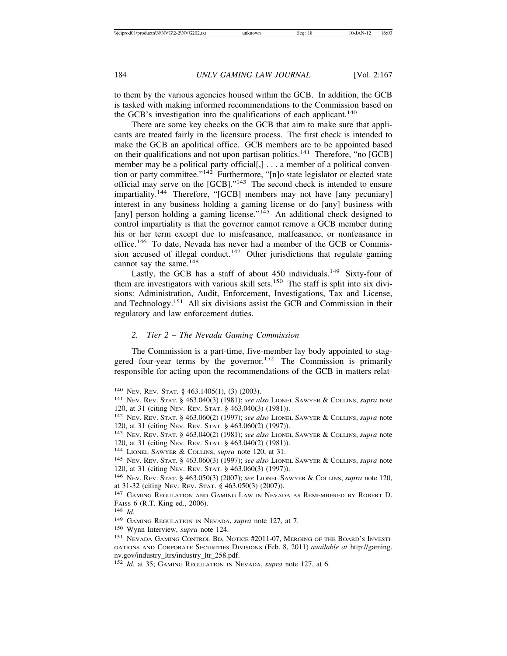to them by the various agencies housed within the GCB. In addition, the GCB is tasked with making informed recommendations to the Commission based on the GCB's investigation into the qualifications of each applicant.<sup>140</sup>

There are some key checks on the GCB that aim to make sure that applicants are treated fairly in the licensure process. The first check is intended to make the GCB an apolitical office. GCB members are to be appointed based on their qualifications and not upon partisan politics.<sup>141</sup> Therefore, "no [GCB] member may be a political party official[,] . . . a member of a political convention or party committee." $14\overline{2}$  Furthermore, "[n]o state legislator or elected state official may serve on the  $[GCB]$ ."<sup>143</sup> The second check is intended to ensure impartiality.<sup>144</sup> Therefore, "[GCB] members may not have [any pecuniary] interest in any business holding a gaming license or do [any] business with [any] person holding a gaming license."<sup>145</sup> An additional check designed to control impartiality is that the governor cannot remove a GCB member during his or her term except due to misfeasance, malfeasance, or nonfeasance in office.146 To date, Nevada has never had a member of the GCB or Commission accused of illegal conduct.<sup>147</sup> Other jurisdictions that regulate gaming cannot say the same. $148$ 

Lastly, the GCB has a staff of about  $450$  individuals.<sup>149</sup> Sixty-four of them are investigators with various skill sets.<sup>150</sup> The staff is split into six divisions: Administration, Audit, Enforcement, Investigations, Tax and License, and Technology.151 All six divisions assist the GCB and Commission in their regulatory and law enforcement duties.

#### *2. Tier 2 – The Nevada Gaming Commission*

The Commission is a part-time, five-member lay body appointed to staggered four-year terms by the governor.<sup>152</sup> The Commission is primarily responsible for acting upon the recommendations of the GCB in matters relat-

<sup>150</sup> Wynn Interview, *supra* note 124.

<sup>140</sup> NEV. REV. STAT. § 463.1405(1), (3) (2003).

<sup>141</sup> NEV. REV. STAT. § 463.040(3) (1981); *see also* LIONEL SAWYER & COLLINS, *supra* note 120, at 31 (citing NEV. REV. STAT. § 463.040(3) (1981)).

<sup>142</sup> NEV. REV. STAT. § 463.060(2) (1997); *see also* LIONEL SAWYER & COLLINS, *supra* note 120, at 31 (citing NEV. REV. STAT. § 463.060(2) (1997)).

<sup>143</sup> NEV. REV. STAT. § 463.040(2) (1981); *see also* LIONEL SAWYER & COLLINS, *supra* note 120, at 31 (citing NEV. REV. STAT. § 463.040(2) (1981)).

<sup>144</sup> LIONEL SAWYER & COLLINS, *supra* note 120, at 31.

<sup>145</sup> NEV. REV. STAT. § 463.060(3) (1997); *see also* LIONEL SAWYER & COLLINS, *supra* note 120, at 31 (citing NEV. REV. STAT. § 463.060(3) (1997)).

<sup>146</sup> NEV. REV. STAT. § 463.050(3) (2007); *see* LIONEL SAWYER & COLLINS, *supra* note 120, at 31-32 (citing NEV. REV. STAT. § 463.050(3) (2007)).

<sup>&</sup>lt;sup>147</sup> GAMING REGULATION AND GAMING LAW IN NEVADA AS REMEMBERED BY ROBERT D. FAISS 6 (R.T. King ed., 2006).

<sup>148</sup> *Id.*

<sup>149</sup> GAMING REGULATION IN NEVADA, *supra* note 127, at 7.

<sup>151</sup> NEVADA GAMING CONTROL BD, NOTICE #2011-07, MERGING OF THE BOARD'S INVESTI-GATIONS AND CORPORATE SECURITIES DIVISIONS (Feb. 8, 2011) *available at* http://gaming. nv.gov/industry\_ltrs/industry\_ltr\_258.pdf.

<sup>152</sup> *Id.* at 35; GAMING REGULATION IN NEVADA, *supra* note 127, at 6.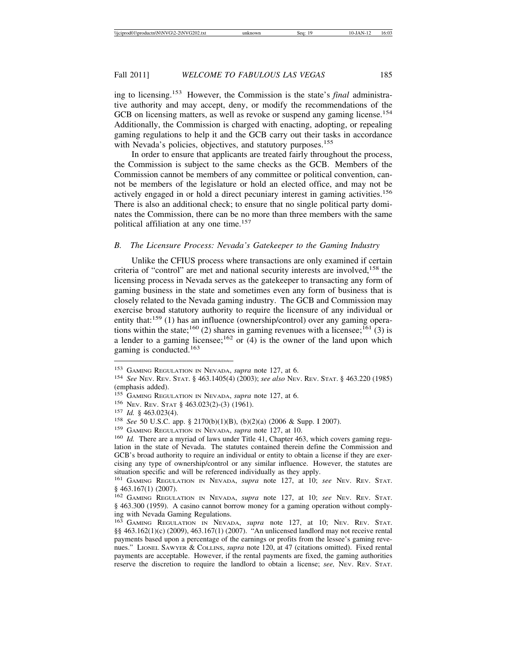ing to licensing.153 However, the Commission is the state's *final* administrative authority and may accept, deny, or modify the recommendations of the GCB on licensing matters, as well as revoke or suspend any gaming license.<sup>154</sup> Additionally, the Commission is charged with enacting, adopting, or repealing gaming regulations to help it and the GCB carry out their tasks in accordance with Nevada's policies, objectives, and statutory purposes.<sup>155</sup>

In order to ensure that applicants are treated fairly throughout the process, the Commission is subject to the same checks as the GCB. Members of the Commission cannot be members of any committee or political convention, cannot be members of the legislature or hold an elected office, and may not be actively engaged in or hold a direct pecuniary interest in gaming activities.<sup>156</sup> There is also an additional check; to ensure that no single political party dominates the Commission, there can be no more than three members with the same political affiliation at any one time.<sup>157</sup>

## *B. The Licensure Process: Nevada's Gatekeeper to the Gaming Industry*

Unlike the CFIUS process where transactions are only examined if certain criteria of "control" are met and national security interests are involved,<sup>158</sup> the licensing process in Nevada serves as the gatekeeper to transacting any form of gaming business in the state and sometimes even any form of business that is closely related to the Nevada gaming industry. The GCB and Commission may exercise broad statutory authority to require the licensure of any individual or entity that: $159$  (1) has an influence (ownership/control) over any gaming operations within the state;<sup>160</sup> (2) shares in gaming revenues with a licensee;<sup>161</sup> (3) is a lender to a gaming licensee;  $162$  or (4) is the owner of the land upon which gaming is conducted. $163$ 

<sup>153</sup> GAMING REGULATION IN NEVADA, *supra* note 127, at 6. <sup>154</sup> *See* NEV. REV. STAT. § 463.1405(4) (2003); *see also* NEV. REV. STAT. § 463.220 (1985) (emphasis added).<br><sup>155</sup> GAMING REGULATION IN NEVADA, *supra* note 127, at 6.

<sup>&</sup>lt;sup>156</sup> Nev. Rev. STAT § 463.023(2)-(3) (1961).<br><sup>157</sup> *Id.* § 463.023(4).<br><sup>158</sup> *See* 50 U.S.C. app. § 2170(b)(1)(B), (b)(2)(a) (2006 & Supp. I 2007).<br><sup>159</sup> GAMING REGULATION IN NEVADA, *supra* note 127, at 10.<br><sup>159</sup> *Id.* lation in the state of Nevada. The statutes contained therein define the Commission and GCB's broad authority to require an individual or entity to obtain a license if they are exercising any type of ownership/control or any similar influence. However, the statutes are situation specific and will be referenced individually as they apply.

<sup>161</sup> GAMING REGULATION IN NEVADA, *supra* note 127, at 10; *see* NEV. REV. STAT. § 463.167(1) (2007).

<sup>162</sup> GAMING REGULATION IN NEVADA, *supra* note 127, at 10; *see* NEV. REV. STAT. § 463.300 (1959). A casino cannot borrow money for a gaming operation without complying with Nevada Gaming Regulations.

<sup>163</sup> GAMING REGULATION IN NEVADA, *supra* note 127, at 10; NEV. REV. STAT. §§ 463.162(1)(c) (2009), 463.167(1) (2007). "An unlicensed landlord may not receive rental payments based upon a percentage of the earnings or profits from the lessee's gaming revenues." LIONEL SAWYER & COLLINS, *supra* note 120, at 47 (citations omitted). Fixed rental payments are acceptable. However, if the rental payments are fixed, the gaming authorities reserve the discretion to require the landlord to obtain a license; *see,* NEV. REV. STAT.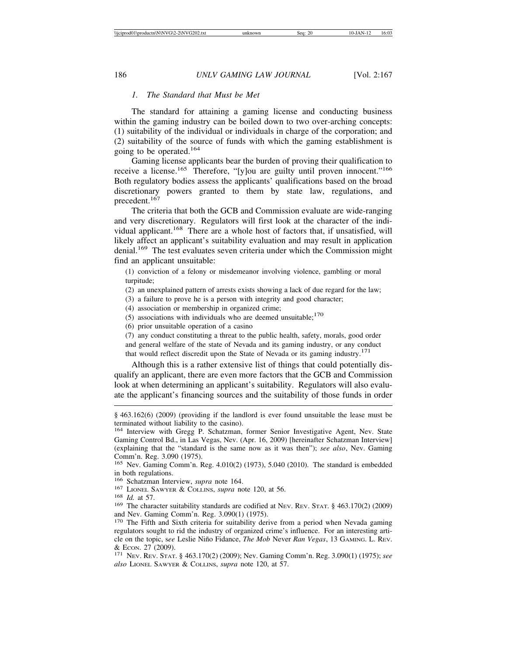## *1. The Standard that Must be Met*

The standard for attaining a gaming license and conducting business within the gaming industry can be boiled down to two over-arching concepts: (1) suitability of the individual or individuals in charge of the corporation; and (2) suitability of the source of funds with which the gaming establishment is going to be operated.<sup>164</sup>

Gaming license applicants bear the burden of proving their qualification to receive a license.<sup>165</sup> Therefore, "[y]ou are guilty until proven innocent."<sup>166</sup> Both regulatory bodies assess the applicants' qualifications based on the broad discretionary powers granted to them by state law, regulations, and precedent.<sup>167</sup>

The criteria that both the GCB and Commission evaluate are wide-ranging and very discretionary. Regulators will first look at the character of the individual applicant.<sup>168</sup> There are a whole host of factors that, if unsatisfied, will likely affect an applicant's suitability evaluation and may result in application denial.<sup>169</sup> The test evaluates seven criteria under which the Commission might find an applicant unsuitable:

(1) conviction of a felony or misdemeanor involving violence, gambling or moral turpitude;

(2) an unexplained pattern of arrests exists showing a lack of due regard for the law;

(3) a failure to prove he is a person with integrity and good character;

(4) association or membership in organized crime;

(5) associations with individuals who are deemed unsuitable;<sup>170</sup>

(6) prior unsuitable operation of a casino

(7) any conduct constituting a threat to the public health, safety, morals, good order and general welfare of the state of Nevada and its gaming industry, or any conduct that would reflect discredit upon the State of Nevada or its gaming industry.<sup>171</sup>

Although this is a rather extensive list of things that could potentially disqualify an applicant, there are even more factors that the GCB and Commission look at when determining an applicant's suitability. Regulators will also evaluate the applicant's financing sources and the suitability of those funds in order

<sup>167</sup> LIONEL SAWYER & COLLINS, *supra* note 120, at 56. <sup>168</sup> *Id.* at 57. 169 The character suitability standards are codified at NEV. REV. STAT. § 463.170(2) (2009) and Nev. Gaming Comm'n. Reg. 3.090(1) (1975).

<sup>170</sup> The Fifth and Sixth criteria for suitability derive from a period when Nevada gaming regulators sought to rid the industry of organized crime's influence. For an interesting article on the topic, s*ee* Leslie Ni˜no Fidance, *The Mob* Never *Ran Vegas*, 13 GAMING. L. REV. & ECON. 27 (2009). <sup>171</sup> NEV. REV. STAT. § 463.170(2) (2009); Nev. Gaming Comm'n. Reg. 3.090(1) (1975); *see*

*also* LIONEL SAWYER & COLLINS, *supra* note 120, at 57.

<sup>§ 463.162(6) (2009) (</sup>providing if the landlord is ever found unsuitable the lease must be terminated without liability to the casino).

<sup>164</sup> Interview with Gregg P. Schatzman, former Senior Investigative Agent, Nev. State Gaming Control Bd., in Las Vegas, Nev. (Apr. 16, 2009) [hereinafter Schatzman Interview] (explaining that the "standard is the same now as it was then"); *see also*, Nev. Gaming Comm'n. Reg. 3.090 (1975).

<sup>165</sup> Nev. Gaming Comm'n. Reg. 4.010(2) (1973), 5.040 (2010). The standard is embedded in both regulations.<br><sup>166</sup> Schatzman Interview, *supra* note 164.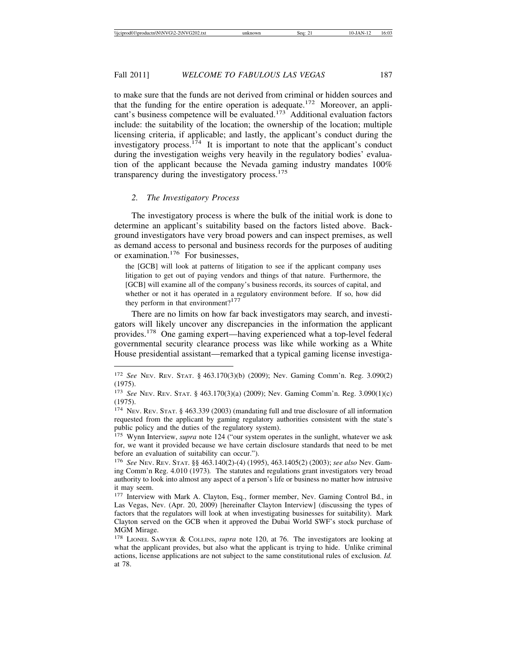to make sure that the funds are not derived from criminal or hidden sources and that the funding for the entire operation is adequate.<sup>172</sup> Moreover, an applicant's business competence will be evaluated.<sup>173</sup> Additional evaluation factors include: the suitability of the location; the ownership of the location; multiple licensing criteria, if applicable; and lastly, the applicant's conduct during the investigatory process.<sup>174</sup> It is important to note that the applicant's conduct during the investigation weighs very heavily in the regulatory bodies' evaluation of the applicant because the Nevada gaming industry mandates 100% transparency during the investigatory process. $175$ 

## *2. The Investigatory Process*

The investigatory process is where the bulk of the initial work is done to determine an applicant's suitability based on the factors listed above. Background investigators have very broad powers and can inspect premises, as well as demand access to personal and business records for the purposes of auditing or examination.176 For businesses,

the [GCB] will look at patterns of litigation to see if the applicant company uses litigation to get out of paying vendors and things of that nature. Furthermore, the [GCB] will examine all of the company's business records, its sources of capital, and whether or not it has operated in a regulatory environment before. If so, how did they perform in that environment? $177$ 

There are no limits on how far back investigators may search, and investigators will likely uncover any discrepancies in the information the applicant provides.178 One gaming expert—having experienced what a top-level federal governmental security clearance process was like while working as a White House presidential assistant—remarked that a typical gaming license investiga-

<sup>172</sup> *See* NEV. REV. STAT. § 463.170(3)(b) (2009); Nev. Gaming Comm'n. Reg. 3.090(2) (1975).

<sup>173</sup> *See* NEV. REV. STAT. § 463.170(3)(a) (2009); Nev. Gaming Comm'n. Reg. 3.090(1)(c) (1975).

<sup>174</sup> NEV. REV. STAT. § 463.339 (2003) (mandating full and true disclosure of all information requested from the applicant by gaming regulatory authorities consistent with the state's public policy and the duties of the regulatory system).

<sup>&</sup>lt;sup>175</sup> Wynn Interview, *supra* note 124 ("our system operates in the sunlight, whatever we ask for, we want it provided because we have certain disclosure standards that need to be met before an evaluation of suitability can occur.").

<sup>176</sup> *See* NEV. REV. STAT. §§ 463.140(2)-(4) (1995), 463.1405(2) (2003); *see also* Nev. Gaming Comm'n Reg. 4.010 (1973)*.* The statutes and regulations grant investigators very broad authority to look into almost any aspect of a person's life or business no matter how intrusive it may seem.

<sup>177</sup> Interview with Mark A. Clayton, Esq., former member, Nev. Gaming Control Bd., in Las Vegas, Nev. (Apr. 20, 2009) [hereinafter Clayton Interview] (discussing the types of factors that the regulators will look at when investigating businesses for suitability). Mark Clayton served on the GCB when it approved the Dubai World SWF's stock purchase of MGM Mirage.

<sup>178</sup> LIONEL SAWYER & COLLINS, *supra* note 120, at 76. The investigators are looking at what the applicant provides, but also what the applicant is trying to hide. Unlike criminal actions, license applications are not subject to the same constitutional rules of exclusion. *Id.* at 78.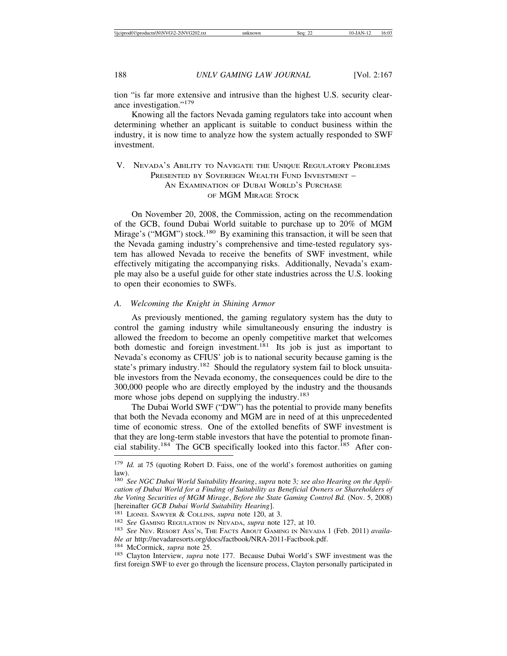tion "is far more extensive and intrusive than the highest U.S. security clearance investigation."<sup>179</sup>

Knowing all the factors Nevada gaming regulators take into account when determining whether an applicant is suitable to conduct business within the industry, it is now time to analyze how the system actually responded to SWF investment.

## V. NEVADA'S ABILITY TO NAVIGATE THE UNIQUE REGULATORY PROBLEMS PRESENTED BY SOVEREIGN WEALTH FUND INVESTMENT -AN EXAMINATION OF DUBAI WORLD'S PURCHASE OF MGM MIRAGE STOCK

On November 20, 2008, the Commission, acting on the recommendation of the GCB, found Dubai World suitable to purchase up to 20% of MGM Mirage's ("MGM") stock.<sup>180</sup> By examining this transaction, it will be seen that the Nevada gaming industry's comprehensive and time-tested regulatory system has allowed Nevada to receive the benefits of SWF investment, while effectively mitigating the accompanying risks. Additionally, Nevada's example may also be a useful guide for other state industries across the U.S. looking to open their economies to SWFs.

#### *A. Welcoming the Knight in Shining Armor*

As previously mentioned, the gaming regulatory system has the duty to control the gaming industry while simultaneously ensuring the industry is allowed the freedom to become an openly competitive market that welcomes both domestic and foreign investment.<sup>181</sup> Its job is just as important to Nevada's economy as CFIUS' job is to national security because gaming is the state's primary industry.<sup>182</sup> Should the regulatory system fail to block unsuitable investors from the Nevada economy, the consequences could be dire to the 300,000 people who are directly employed by the industry and the thousands more whose jobs depend on supplying the industry.<sup>183</sup>

The Dubai World SWF ("DW") has the potential to provide many benefits that both the Nevada economy and MGM are in need of at this unprecedented time of economic stress. One of the extolled benefits of SWF investment is that they are long-term stable investors that have the potential to promote financial stability.<sup>184</sup> The GCB specifically looked into this factor.<sup>185</sup> After con-

<sup>&</sup>lt;sup>179</sup> *Id.* at 75 (quoting Robert D. Faiss, one of the world's foremost authorities on gaming law).

<sup>180</sup> *See NGC Dubai World Suitability Hearing*, *supra* note 3*; see also Hearing on the Application of Dubai World for a Finding of Suitability as Beneficial Owners or Shareholders of the Voting Securities of MGM Mirage*, *Before the State Gaming Control Bd.* (Nov. 5, 2008)

<sup>[</sup>hereinafter *GCB Dubai World Suitability Hearing*].<br><sup>181</sup> LIONEL SAWYER & COLLINS, *supra* note 120, at 3.<br><sup>182</sup> See GAMING REGULATION IN NEVADA, *supra* note 127, at 10.<br><sup>183</sup> See Nev. RESORT ASS'N, THE FACTS ABOUT GAMIN

<sup>&</sup>lt;sup>184</sup> McCormick, *supra* note 25. <sup>185</sup> Clayton Interview, *supra* note 177. Because Dubai World's SWF investment was the first foreign SWF to ever go through the licensure process, Clayton personally participated in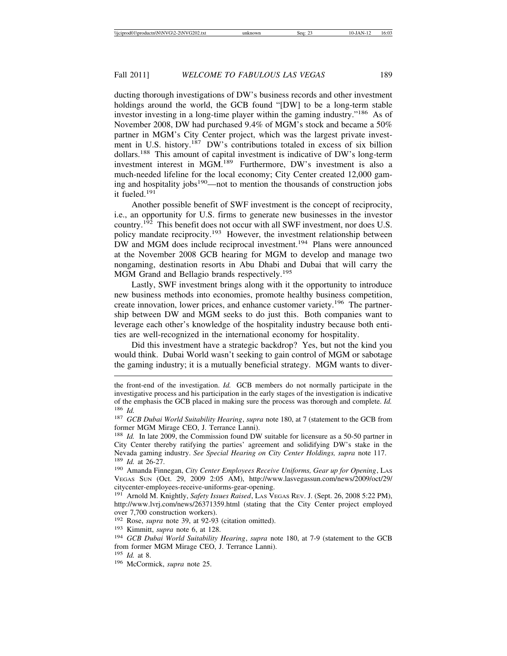ducting thorough investigations of DW's business records and other investment holdings around the world, the GCB found "[DW] to be a long-term stable investor investing in a long-time player within the gaming industry."186 As of November 2008, DW had purchased 9.4% of MGM's stock and became a 50% partner in MGM's City Center project, which was the largest private investment in U.S. history.<sup>187</sup> DW's contributions totaled in excess of six billion dollars.188 This amount of capital investment is indicative of DW's long-term investment interest in MGM.189 Furthermore, DW's investment is also a much-needed lifeline for the local economy; City Center created 12,000 gaming and hospitality jobs $190$ —not to mention the thousands of construction jobs it fueled.<sup>191</sup>

Another possible benefit of SWF investment is the concept of reciprocity, i.e., an opportunity for U.S. firms to generate new businesses in the investor country.192 This benefit does not occur with all SWF investment, nor does U.S. policy mandate reciprocity.<sup>193</sup> However, the investment relationship between DW and MGM does include reciprocal investment.<sup>194</sup> Plans were announced at the November 2008 GCB hearing for MGM to develop and manage two nongaming, destination resorts in Abu Dhabi and Dubai that will carry the MGM Grand and Bellagio brands respectively.<sup>195</sup>

Lastly, SWF investment brings along with it the opportunity to introduce new business methods into economies, promote healthy business competition, create innovation, lower prices, and enhance customer variety.<sup>196</sup> The partnership between DW and MGM seeks to do just this. Both companies want to leverage each other's knowledge of the hospitality industry because both entities are well-recognized in the international economy for hospitality.

Did this investment have a strategic backdrop? Yes, but not the kind you would think. Dubai World wasn't seeking to gain control of MGM or sabotage the gaming industry; it is a mutually beneficial strategy. MGM wants to diver-

<sup>192</sup> Rose, *supra* note 39, at 92-93 (citation omitted).

<sup>193</sup> Kimmitt, *supra* note 6, at 128.

<sup>195</sup> *Id.* at 8.

the front-end of the investigation. *Id.* GCB members do not normally participate in the investigative process and his participation in the early stages of the investigation is indicative of the emphasis the GCB placed in making sure the process was thorough and complete. *Id.* <sup>186</sup> *Id.*

<sup>187</sup> *GCB Dubai World Suitability Hearing*, *supra* note 180, at 7 (statement to the GCB from former MGM Mirage CEO, J. Terrance Lanni).

<sup>188</sup> *Id.* In late 2009, the Commission found DW suitable for licensure as a 50-50 partner in City Center thereby ratifying the parties' agreement and solidifying DW's stake in the Nevada gaming industry. *See Special Hearing on City Center Holdings, supra* note 117. <sup>189</sup> *Id.* at 26-27.

<sup>190</sup> Amanda Finnegan, *City Center Employees Receive Uniforms, Gear up for Opening*, LAS VEGAS SUN (Oct. 29, 2009 2:05 AM), http://www.lasvegassun.com/news/2009/oct/29/ citycenter-employees-receive-uniforms-gear-opening.

<sup>191</sup> Arnold M. Knightly, *Safety Issues Raised*, LAS VEGAS REV. J. (Sept. 26, 2008 5:22 PM), http://www.lvrj.com/news/26371359.html (stating that the City Center project employed over 7,700 construction workers).

<sup>194</sup> *GCB Dubai World Suitability Hearing*, *supra* note 180, at 7-9 (statement to the GCB from former MGM Mirage CEO, J. Terrance Lanni).

<sup>196</sup> McCormick, *supra* note 25.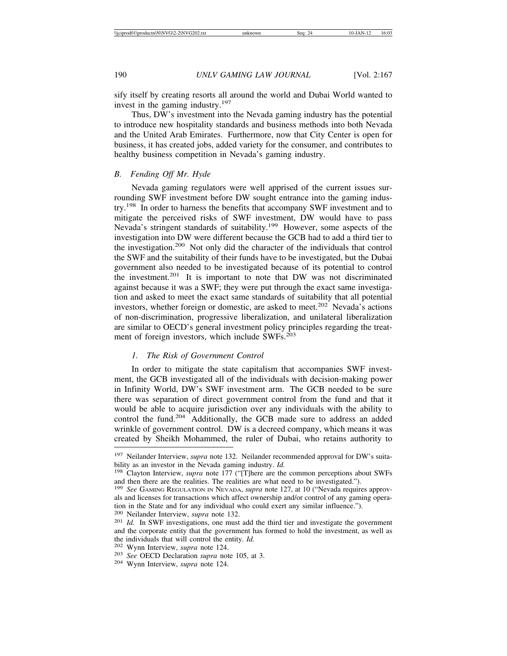sify itself by creating resorts all around the world and Dubai World wanted to invest in the gaming industry.<sup>197</sup>

Thus, DW's investment into the Nevada gaming industry has the potential to introduce new hospitality standards and business methods into both Nevada and the United Arab Emirates. Furthermore, now that City Center is open for business, it has created jobs, added variety for the consumer, and contributes to healthy business competition in Nevada's gaming industry.

## *B. Fending Off Mr. Hyde*

Nevada gaming regulators were well apprised of the current issues surrounding SWF investment before DW sought entrance into the gaming industry.<sup>198</sup> In order to harness the benefits that accompany SWF investment and to mitigate the perceived risks of SWF investment, DW would have to pass Nevada's stringent standards of suitability.<sup>199</sup> However, some aspects of the investigation into DW were different because the GCB had to add a third tier to the investigation.200 Not only did the character of the individuals that control the SWF and the suitability of their funds have to be investigated, but the Dubai government also needed to be investigated because of its potential to control the investment.201 It is important to note that DW was not discriminated against because it was a SWF; they were put through the exact same investigation and asked to meet the exact same standards of suitability that all potential investors, whether foreign or domestic, are asked to meet.<sup>202</sup> Nevada's actions of non-discrimination, progressive liberalization, and unilateral liberalization are similar to OECD's general investment policy principles regarding the treatment of foreign investors, which include SWFs.<sup>203</sup>

## *1. The Risk of Government Control*

In order to mitigate the state capitalism that accompanies SWF investment, the GCB investigated all of the individuals with decision-making power in Infinity World, DW's SWF investment arm. The GCB needed to be sure there was separation of direct government control from the fund and that it would be able to acquire jurisdiction over any individuals with the ability to control the fund.<sup>204</sup> Additionally, the GCB made sure to address an added wrinkle of government control. DW is a decreed company, which means it was created by Sheikh Mohammed, the ruler of Dubai, who retains authority to

<sup>197</sup> Neilander Interview, *supra* note 132. Neilander recommended approval for DW's suitability as an investor in the Nevada gaming industry. *Id.* <sup>198</sup> Clayton Interview, *supra* note 177 ("[T]here are the common perceptions about SWFs

and then there are the realities. The realities are what need to be investigated.").

<sup>199</sup> *See* GAMING REGULATION IN NEVADA, *supra* note 127, at 10 ("Nevada requires approvals and licenses for transactions which affect ownership and/or control of any gaming operation in the State and for any individual who could exert any similar influence.").  $200$  Neilander Interview, *supra* note 132.

<sup>&</sup>lt;sup>201</sup> Id. In SWF investigations, one must add the third tier and investigate the government and the corporate entity that the government has formed to hold the investment, as well as

the individuals that will control the entity. *Id.* <sup>202</sup> Wynn Interview, *supra* note 124. <sup>204</sup> Wynn Interview, *supra* note 124.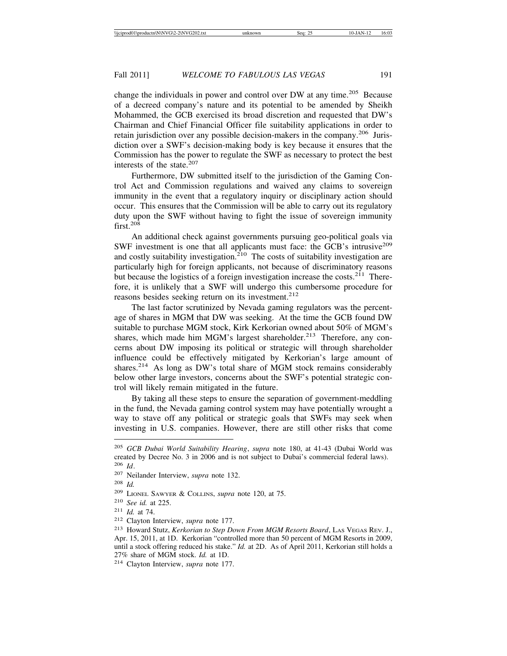change the individuals in power and control over DW at any time.<sup>205</sup> Because of a decreed company's nature and its potential to be amended by Sheikh Mohammed, the GCB exercised its broad discretion and requested that DW's Chairman and Chief Financial Officer file suitability applications in order to retain jurisdiction over any possible decision-makers in the company.206 Jurisdiction over a SWF's decision-making body is key because it ensures that the Commission has the power to regulate the SWF as necessary to protect the best interests of the state.<sup>207</sup>

Furthermore, DW submitted itself to the jurisdiction of the Gaming Control Act and Commission regulations and waived any claims to sovereign immunity in the event that a regulatory inquiry or disciplinary action should occur. This ensures that the Commission will be able to carry out its regulatory duty upon the SWF without having to fight the issue of sovereign immunity first.208

An additional check against governments pursuing geo-political goals via SWF investment is one that all applicants must face: the GCB's intrusive<sup>209</sup> and costly suitability investigation.<sup>210</sup> The costs of suitability investigation are particularly high for foreign applicants, not because of discriminatory reasons but because the logistics of a foreign investigation increase the costs.<sup>211</sup> Therefore, it is unlikely that a SWF will undergo this cumbersome procedure for reasons besides seeking return on its investment.<sup>212</sup>

The last factor scrutinized by Nevada gaming regulators was the percentage of shares in MGM that DW was seeking. At the time the GCB found DW suitable to purchase MGM stock, Kirk Kerkorian owned about 50% of MGM's shares, which made him MGM's largest shareholder.<sup>213</sup> Therefore, any concerns about DW imposing its political or strategic will through shareholder influence could be effectively mitigated by Kerkorian's large amount of shares.214 As long as DW's total share of MGM stock remains considerably below other large investors, concerns about the SWF's potential strategic control will likely remain mitigated in the future.

By taking all these steps to ensure the separation of government-meddling in the fund, the Nevada gaming control system may have potentially wrought a way to stave off any political or strategic goals that SWFs may seek when investing in U.S. companies. However, there are still other risks that come

<sup>205</sup> *GCB Dubai World Suitability Hearing*, *supra* note 180, at 41-43 (Dubai World was created by Decree No. 3 in 2006 and is not subject to Dubai's commercial federal laws). <sup>206</sup> *Id*.

<sup>207</sup> Neilander Interview, *supra* note 132.

<sup>208</sup> *Id.*

<sup>209</sup> LIONEL SAWYER & COLLINS, *supra* note 120, at 75.

<sup>210</sup> *See id.* at 225.

<sup>211</sup> *Id.* at 74.

<sup>212</sup> Clayton Interview, *supra* note 177.

<sup>213</sup> Howard Stutz, *Kerkorian to Step Down From MGM Resorts Board*, LAS VEGAS REV. J., Apr. 15, 2011, at 1D. Kerkorian "controlled more than 50 percent of MGM Resorts in 2009, until a stock offering reduced his stake." *Id.* at 2D. As of April 2011, Kerkorian still holds a 27% share of MGM stock. *Id.* at 1D.

<sup>214</sup> Clayton Interview, *supra* note 177.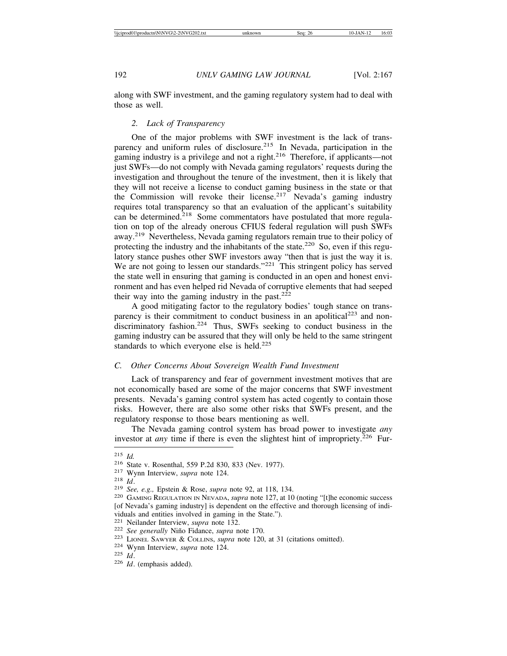along with SWF investment, and the gaming regulatory system had to deal with those as well.

## *2. Lack of Transparency*

One of the major problems with SWF investment is the lack of transparency and uniform rules of disclosure.<sup>215</sup> In Nevada, participation in the gaming industry is a privilege and not a right.<sup>216</sup> Therefore, if applicants—not just SWFs—do not comply with Nevada gaming regulators' requests during the investigation and throughout the tenure of the investment, then it is likely that they will not receive a license to conduct gaming business in the state or that the Commission will revoke their license.<sup>217</sup> Nevada's gaming industry requires total transparency so that an evaluation of the applicant's suitability can be determined.<sup>218</sup> Some commentators have postulated that more regulation on top of the already onerous CFIUS federal regulation will push SWFs away.219 Nevertheless, Nevada gaming regulators remain true to their policy of protecting the industry and the inhabitants of the state.<sup>220</sup> So, even if this regulatory stance pushes other SWF investors away "then that is just the way it is. We are not going to lessen our standards."<sup>221</sup> This stringent policy has served the state well in ensuring that gaming is conducted in an open and honest environment and has even helped rid Nevada of corruptive elements that had seeped their way into the gaming industry in the past. $222$ 

A good mitigating factor to the regulatory bodies' tough stance on transparency is their commitment to conduct business in an apolitical<sup>223</sup> and nondiscriminatory fashion.<sup>224</sup> Thus, SWFs seeking to conduct business in the gaming industry can be assured that they will only be held to the same stringent standards to which everyone else is held.<sup>225</sup>

#### *C. Other Concerns About Sovereign Wealth Fund Investment*

Lack of transparency and fear of government investment motives that are not economically based are some of the major concerns that SWF investment presents. Nevada's gaming control system has acted cogently to contain those risks. However, there are also some other risks that SWFs present, and the regulatory response to those bears mentioning as well.

The Nevada gaming control system has broad power to investigate *any* investor at *any* time if there is even the slightest hint of impropriety.<sup>226</sup> Fur-

<sup>&</sup>lt;sup>215</sup> *Id.*<br>
<sup>216</sup> State v. Rosenthal, 559 P.2d 830, 833 (Nev. 1977).<br>
<sup>217</sup> Wynn Interview, *supra* note 124.<br>
<sup>219</sup> *See, e.g.*, Epstein & Rose, *supra* note 92, at 118, 134.<br>
<sup>219</sup> *See, e.g.*, Epstein & Rose, *supra* [of Nevada's gaming industry] is dependent on the effective and thorough licensing of individuals and entities involved in gaming in the State.").<br><sup>221</sup> Neilander Interview, *supra* note 132.

<sup>&</sup>lt;sup>222</sup> See generally Niño Fidance, *supra* note 170.<br><sup>223</sup> LIONEL SAWYER & COLLINS, *supra* note 120, at 31 (citations omitted).<br><sup>224</sup> Wynn Interview, *supra* note 124.<br><sup>225</sup> Id. (emphasis added).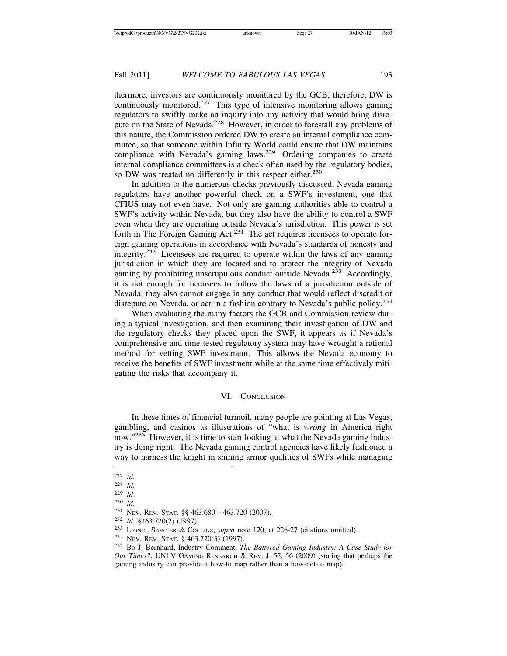thermore, investors are continuously monitored by the GCB; therefore, DW is continuously monitored.<sup>227</sup> This type of intensive monitoring allows gaming regulators to swiftly make an inquiry into any activity that would bring disrepute on the State of Nevada.<sup>228</sup> However, in order to forestall any problems of this nature, the Commission ordered DW to create an internal compliance committee, so that someone within Infinity World could ensure that DW maintains compliance with Nevada's gaming laws.<sup>229</sup> Ordering companies to create internal compliance committees is a check often used by the regulatory bodies, so DW was treated no differently in this respect either.<sup>230</sup>

In addition to the numerous checks previously discussed, Nevada gaming regulators have another powerful check on a SWF's investment, one that CFIUS may not even have. Not only are gaming authorities able to control a SWF's activity within Nevada, but they also have the ability to control a SWF even when they are operating outside Nevada's jurisdiction. This power is set forth in The Foreign Gaming Act.<sup>231</sup> The act requires licensees to operate foreign gaming operations in accordance with Nevada's standards of honesty and integrity.<sup>232</sup> Licensees are required to operate within the laws of any gaming jurisdiction in which they are located and to protect the integrity of Nevada gaming by prohibiting unscrupulous conduct outside Nevada.<sup>233</sup> Accordingly, it is not enough for licensees to follow the laws of a jurisdiction outside of Nevada; they also cannot engage in any conduct that would reflect discredit or disrepute on Nevada, or act in a fashion contrary to Nevada's public policy.<sup>234</sup>

When evaluating the many factors the GCB and Commission review during a typical investigation, and then examining their investigation of DW and the regulatory checks they placed upon the SWF, it appears as if Nevada's comprehensive and time-tested regulatory system may have wrought a rational method for vetting SWF investment. This allows the Nevada economy to receive the benefits of SWF investment while at the same time effectively mitigating the risks that accompany it.

#### VI. CONCLUSION

In these times of financial turmoil, many people are pointing at Las Vegas, gambling, and casinos as illustrations of "what is *wrong* in America right now."<sup>235</sup> However, it is time to start looking at what the Nevada gaming industry is doing right. The Nevada gaming control agencies have likely fashioned a way to harness the knight in shining armor qualities of SWFs while managing

<sup>227</sup> *Id.*

<sup>228</sup> *Id.*

<sup>229</sup> *Id*.

<sup>230</sup> *Id.*

<sup>231</sup> NEV. REV. STAT. §§ 463.680 - 463.720 (2007).

<sup>232</sup> *Id.* §463.720(2) (1997).

<sup>233</sup> LIONEL SAWYER & COLLINS, *supra* note 120, at 226-27 (citations omitted).

<sup>234</sup> NEV. REV. STAT. § 463.720(3) (1997).

<sup>235</sup> Bo J. Bernhard, Industry Comment, *The Battered Gaming Industry: A Case Study for Our Times?*, UNLV GAMING RESEARCH & REV. J. 55, 56 (2009) (Stating that perhaps the gaming industry can provide a how-to map rather than a how-not-to map).